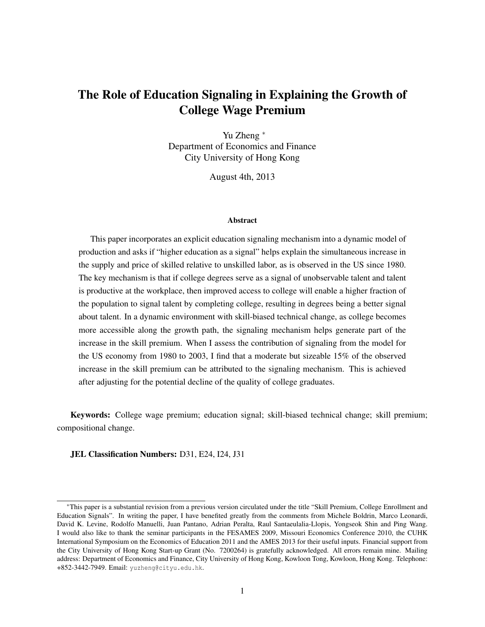# <span id="page-0-0"></span>The Role of Education Signaling in Explaining the Growth of College Wage Premium

Yu Zheng <sup>∗</sup> Department of Economics and Finance City University of Hong Kong

August 4th, 2013

#### Abstract

This paper incorporates an explicit education signaling mechanism into a dynamic model of production and asks if "higher education as a signal" helps explain the simultaneous increase in the supply and price of skilled relative to unskilled labor, as is observed in the US since 1980. The key mechanism is that if college degrees serve as a signal of unobservable talent and talent is productive at the workplace, then improved access to college will enable a higher fraction of the population to signal talent by completing college, resulting in degrees being a better signal about talent. In a dynamic environment with skill-biased technical change, as college becomes more accessible along the growth path, the signaling mechanism helps generate part of the increase in the skill premium. When I assess the contribution of signaling from the model for the US economy from 1980 to 2003, I find that a moderate but sizeable 15% of the observed increase in the skill premium can be attributed to the signaling mechanism. This is achieved after adjusting for the potential decline of the quality of college graduates.

Keywords: College wage premium; education signal; skill-biased technical change; skill premium; compositional change.

JEL Classification Numbers: D31, E24, I24, J31

<sup>∗</sup>This paper is a substantial revision from a previous version circulated under the title "Skill Premium, College Enrollment and Education Signals". In writing the paper, I have benefited greatly from the comments from Michele Boldrin, Marco Leonardi, David K. Levine, Rodolfo Manuelli, Juan Pantano, Adrian Peralta, Raul Santaeulalia-Llopis, Yongseok Shin and Ping Wang. I would also like to thank the seminar participants in the FESAMES 2009, Missouri Economics Conference 2010, the CUHK International Symposium on the Economics of Education 2011 and the AMES 2013 for their useful inputs. Financial support from the City University of Hong Kong Start-up Grant (No. 7200264) is gratefully acknowledged. All errors remain mine. Mailing address: Department of Economics and Finance, City University of Hong Kong, Kowloon Tong, Kowloon, Hong Kong. Telephone: +852-3442-7949. Email: yuzheng@cityu.edu.hk.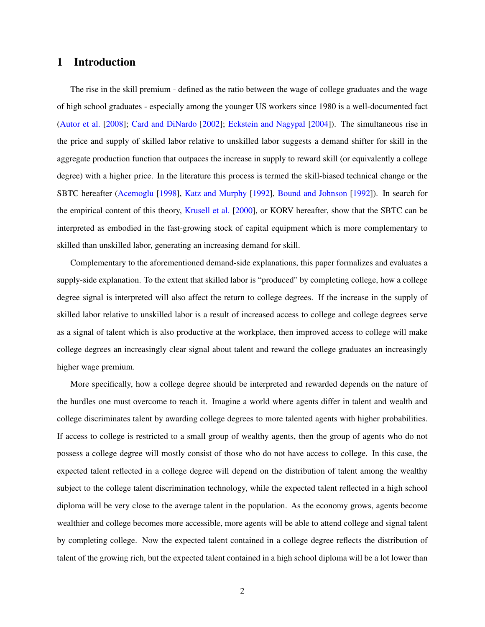# 1 Introduction

The rise in the skill premium - defined as the ratio between the wage of college graduates and the wage of high school graduates - especially among the younger US workers since 1980 is a well-documented fact [\(Autor et al.](#page-33-0) [\[2008\]](#page-33-0); [Card and DiNardo](#page-33-1) [\[2002\]](#page-33-1); [Eckstein and Nagypal](#page-33-2) [\[2004\]](#page-33-2)). The simultaneous rise in the price and supply of skilled labor relative to unskilled labor suggests a demand shifter for skill in the aggregate production function that outpaces the increase in supply to reward skill (or equivalently a college degree) with a higher price. In the literature this process is termed the skill-biased technical change or the SBTC hereafter [\(Acemoglu](#page-33-3) [\[1998\]](#page-33-3), [Katz and Murphy](#page-34-0) [\[1992\]](#page-34-0), [Bound and Johnson](#page-33-4) [\[1992\]](#page-33-4)). In search for the empirical content of this theory, [Krusell et al.](#page-34-1) [\[2000\]](#page-34-1), or KORV hereafter, show that the SBTC can be interpreted as embodied in the fast-growing stock of capital equipment which is more complementary to skilled than unskilled labor, generating an increasing demand for skill.

Complementary to the aforementioned demand-side explanations, this paper formalizes and evaluates a supply-side explanation. To the extent that skilled labor is "produced" by completing college, how a college degree signal is interpreted will also affect the return to college degrees. If the increase in the supply of skilled labor relative to unskilled labor is a result of increased access to college and college degrees serve as a signal of talent which is also productive at the workplace, then improved access to college will make college degrees an increasingly clear signal about talent and reward the college graduates an increasingly higher wage premium.

More specifically, how a college degree should be interpreted and rewarded depends on the nature of the hurdles one must overcome to reach it. Imagine a world where agents differ in talent and wealth and college discriminates talent by awarding college degrees to more talented agents with higher probabilities. If access to college is restricted to a small group of wealthy agents, then the group of agents who do not possess a college degree will mostly consist of those who do not have access to college. In this case, the expected talent reflected in a college degree will depend on the distribution of talent among the wealthy subject to the college talent discrimination technology, while the expected talent reflected in a high school diploma will be very close to the average talent in the population. As the economy grows, agents become wealthier and college becomes more accessible, more agents will be able to attend college and signal talent by completing college. Now the expected talent contained in a college degree reflects the distribution of talent of the growing rich, but the expected talent contained in a high school diploma will be a lot lower than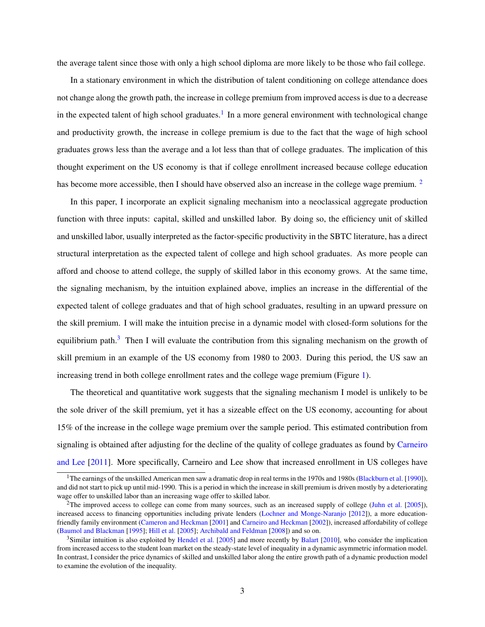the average talent since those with only a high school diploma are more likely to be those who fail college.

In a stationary environment in which the distribution of talent conditioning on college attendance does not change along the growth path, the increase in college premium from improved access is due to a decrease in the expected talent of high school graduates.<sup>[1](#page-0-0)</sup> In a more general environment with technological change and productivity growth, the increase in college premium is due to the fact that the wage of high school graduates grows less than the average and a lot less than that of college graduates. The implication of this thought experiment on the US economy is that if college enrollment increased because college education has become more accessible, then I should have observed also an increase in the college wage premium. <sup>[2](#page-0-0)</sup>

In this paper, I incorporate an explicit signaling mechanism into a neoclassical aggregate production function with three inputs: capital, skilled and unskilled labor. By doing so, the efficiency unit of skilled and unskilled labor, usually interpreted as the factor-specific productivity in the SBTC literature, has a direct structural interpretation as the expected talent of college and high school graduates. As more people can afford and choose to attend college, the supply of skilled labor in this economy grows. At the same time, the signaling mechanism, by the intuition explained above, implies an increase in the differential of the expected talent of college graduates and that of high school graduates, resulting in an upward pressure on the skill premium. I will make the intuition precise in a dynamic model with closed-form solutions for the equilibrium path.<sup>[3](#page-0-0)</sup> Then I will evaluate the contribution from this signaling mechanism on the growth of skill premium in an example of the US economy from 1980 to 2003. During this period, the US saw an increasing trend in both college enrollment rates and the college wage premium (Figure [1\)](#page-23-0).

The theoretical and quantitative work suggests that the signaling mechanism I model is unlikely to be the sole driver of the skill premium, yet it has a sizeable effect on the US economy, accounting for about 15% of the increase in the college wage premium over the sample period. This estimated contribution from signaling is obtained after adjusting for the decline of the quality of college graduates as found by [Carneiro](#page-33-5) [and Lee](#page-33-5) [\[2011\]](#page-33-5). More specifically, Carneiro and Lee show that increased enrollment in US colleges have

<sup>&</sup>lt;sup>1</sup>The earnings of the unskilled American men saw a dramatic drop in real terms in the 1970s and 1980s [\(Blackburn et al.](#page-33-6) [\[1990\]](#page-33-6)), and did not start to pick up until mid-1990. This is a period in which the increase in skill premium is driven mostly by a deteriorating wage offer to unskilled labor than an increasing wage offer to skilled labor.

<sup>&</sup>lt;sup>2</sup>The improved access to college can come from many sources, such as an increased supply of college [\(Juhn et al.](#page-34-2) [\[2005\]](#page-34-2)), increased access to financing opportunities including private lenders [\(Lochner and Monge-Naranjo](#page-34-3) [\[2012\]](#page-34-3)), a more educationfriendly family environment [\(Cameron and Heckman](#page-33-7) [\[2001\]](#page-33-7) and [Carneiro and Heckman](#page-33-8) [\[2002\]](#page-33-8)), increased affordability of college [\(Baumol and Blackman](#page-33-9) [\[1995\]](#page-33-9); [Hill et al.](#page-34-4) [\[2005\]](#page-34-4); [Archibald and Feldman](#page-33-10) [\[2008\]](#page-33-10)) and so on.

 $3$ Similar intuition is also exploited by [Hendel et al.](#page-34-5) [\[2005\]](#page-34-5) and more recently by [Balart](#page-33-11) [\[2010\]](#page-33-11), who consider the implication from increased access to the student loan market on the steady-state level of inequality in a dynamic asymmetric information model. In contrast, I consider the price dynamics of skilled and unskilled labor along the entire growth path of a dynamic production model to examine the evolution of the inequality.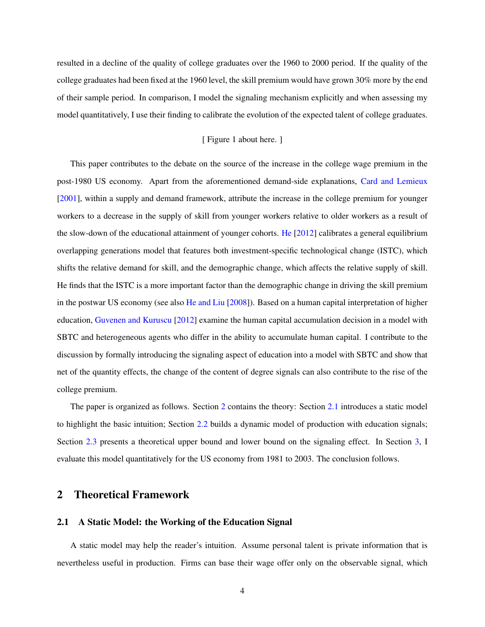resulted in a decline of the quality of college graduates over the 1960 to 2000 period. If the quality of the college graduates had been fixed at the 1960 level, the skill premium would have grown 30% more by the end of their sample period. In comparison, I model the signaling mechanism explicitly and when assessing my model quantitatively, I use their finding to calibrate the evolution of the expected talent of college graduates.

### [ Figure 1 about here. ]

This paper contributes to the debate on the source of the increase in the college wage premium in the post-1980 US economy. Apart from the aforementioned demand-side explanations, [Card and Lemieux](#page-33-12) [\[2001\]](#page-33-12), within a supply and demand framework, attribute the increase in the college premium for younger workers to a decrease in the supply of skill from younger workers relative to older workers as a result of the slow-down of the educational attainment of younger cohorts. [He](#page-33-13) [\[2012\]](#page-33-13) calibrates a general equilibrium overlapping generations model that features both investment-specific technological change (ISTC), which shifts the relative demand for skill, and the demographic change, which affects the relative supply of skill. He finds that the ISTC is a more important factor than the demographic change in driving the skill premium in the postwar US economy (see also [He and Liu](#page-33-14) [\[2008\]](#page-33-14)). Based on a human capital interpretation of higher education, [Guvenen and Kuruscu](#page-33-15) [\[2012\]](#page-33-15) examine the human capital accumulation decision in a model with SBTC and heterogeneous agents who differ in the ability to accumulate human capital. I contribute to the discussion by formally introducing the signaling aspect of education into a model with SBTC and show that net of the quantity effects, the change of the content of degree signals can also contribute to the rise of the college premium.

The paper is organized as follows. Section [2](#page-3-0) contains the theory: Section [2.1](#page-3-1) introduces a static model to highlight the basic intuition; Section [2.2](#page-4-0) builds a dynamic model of production with education signals; Section [2.3](#page-10-0) presents a theoretical upper bound and lower bound on the signaling effect. In Section [3,](#page-14-0) I evaluate this model quantitatively for the US economy from 1981 to 2003. The conclusion follows.

## <span id="page-3-0"></span>2 Theoretical Framework

### <span id="page-3-1"></span>2.1 A Static Model: the Working of the Education Signal

A static model may help the reader's intuition. Assume personal talent is private information that is nevertheless useful in production. Firms can base their wage offer only on the observable signal, which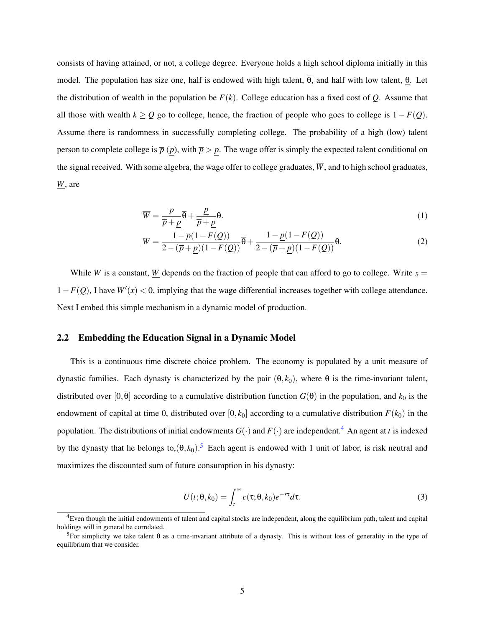consists of having attained, or not, a college degree. Everyone holds a high school diploma initially in this model. The population has size one, half is endowed with high talent,  $\overline{\theta}$ , and half with low talent, θ. Let the distribution of wealth in the population be  $F(k)$ . College education has a fixed cost of  $Q$ . Assume that all those with wealth  $k \geq Q$  go to college, hence, the fraction of people who goes to college is  $1 - F(Q)$ . Assume there is randomness in successfully completing college. The probability of a high (low) talent person to complete college is  $\bar{p}(p)$ , with  $\bar{p} > p$ . The wage offer is simply the expected talent conditional on the signal received. With some algebra, the wage offer to college graduates,  $\overline{W}$ , and to high school graduates, *W*, are

$$
\overline{W} = \frac{\overline{p}}{\overline{p} + \underline{p}} \overline{\theta} + \frac{\underline{p}}{\overline{p} + \underline{p}} \underline{\theta}.
$$
\n(1)

$$
\underline{W} = \frac{1 - \overline{p}(1 - F(Q))}{2 - (\overline{p} + \underline{p})(1 - F(Q))} \overline{\theta} + \frac{1 - \underline{p}(1 - F(Q))}{2 - (\overline{p} + \underline{p})(1 - F(Q))} \underline{\theta}.
$$
\n(2)

While  $\overline{W}$  is a constant, <u>W</u> depends on the fraction of people that can afford to go to college. Write  $x =$  $1-F(Q)$ , I have  $W'(x) < 0$ , implying that the wage differential increases together with college attendance. Next I embed this simple mechanism in a dynamic model of production.

### <span id="page-4-0"></span>2.2 Embedding the Education Signal in a Dynamic Model

This is a continuous time discrete choice problem. The economy is populated by a unit measure of dynastic families. Each dynasty is characterized by the pair  $(θ, k<sub>0</sub>)$ , where  $θ$  is the time-invariant talent, distributed over  $[0,\overline{\theta}]$  according to a cumulative distribution function  $G(\theta)$  in the population, and  $k_0$  is the endowment of capital at time 0, distributed over  $[0, \bar{k}_0]$  according to a cumulative distribution  $F(k_0)$  in the population. The distributions of initial endowments  $G(\cdot)$  and  $F(\cdot)$  are independent.<sup>[4](#page-0-0)</sup> An agent at *t* is indexed by the dynasty that he belongs to, $(\theta, k_0)$ .<sup>[5](#page-0-0)</sup> Each agent is endowed with 1 unit of labor, is risk neutral and maximizes the discounted sum of future consumption in his dynasty:

$$
U(t; \theta, k_0) = \int_t^{\infty} c(\tau; \theta, k_0) e^{-r\tau} d\tau.
$$
 (3)

<sup>4</sup>Even though the initial endowments of talent and capital stocks are independent, along the equilibrium path, talent and capital holdings will in general be correlated.

<sup>&</sup>lt;sup>5</sup>For simplicity we take talent θ as a time-invariant attribute of a dynasty. This is without loss of generality in the type of equilibrium that we consider.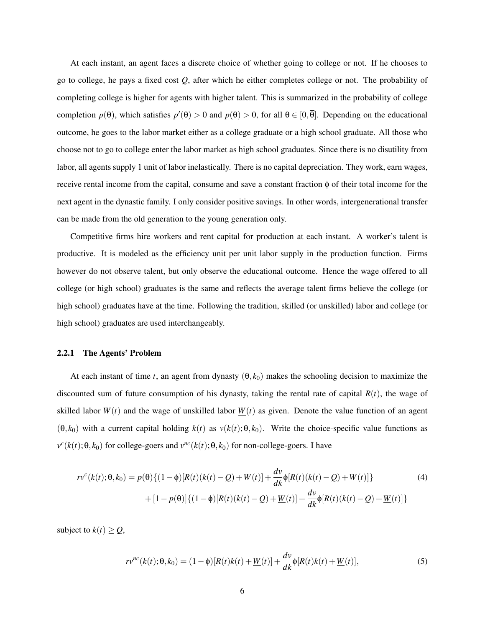At each instant, an agent faces a discrete choice of whether going to college or not. If he chooses to go to college, he pays a fixed cost *Q*, after which he either completes college or not. The probability of completing college is higher for agents with higher talent. This is summarized in the probability of college completion  $p(\theta)$ , which satisfies  $p'(\theta) > 0$  and  $p(\theta) > 0$ , for all  $\theta \in [0, \overline{\theta}]$ . Depending on the educational outcome, he goes to the labor market either as a college graduate or a high school graduate. All those who choose not to go to college enter the labor market as high school graduates. Since there is no disutility from labor, all agents supply 1 unit of labor inelastically. There is no capital depreciation. They work, earn wages, receive rental income from the capital, consume and save a constant fraction φ of their total income for the next agent in the dynastic family. I only consider positive savings. In other words, intergenerational transfer can be made from the old generation to the young generation only.

Competitive firms hire workers and rent capital for production at each instant. A worker's talent is productive. It is modeled as the efficiency unit per unit labor supply in the production function. Firms however do not observe talent, but only observe the educational outcome. Hence the wage offered to all college (or high school) graduates is the same and reflects the average talent firms believe the college (or high school) graduates have at the time. Following the tradition, skilled (or unskilled) labor and college (or high school) graduates are used interchangeably.

### 2.2.1 The Agents' Problem

At each instant of time *t*, an agent from dynasty  $(\theta, k_0)$  makes the schooling decision to maximize the discounted sum of future consumption of his dynasty, taking the rental rate of capital *R*(*t*), the wage of skilled labor  $\overline{W}(t)$  and the wage of unskilled labor  $W(t)$  as given. Denote the value function of an agent  $(\theta, k_0)$  with a current capital holding  $k(t)$  as  $v(k(t); \theta, k_0)$ . Write the choice-specific value functions as  $v^c(k(t); \theta, k_0)$  for college-goers and  $v^{nc}(k(t); \theta, k_0)$  for non-college-goers. I have

$$
rv^{c}(k(t); \theta, k_{0}) = p(\theta) \{ (1 - \phi)[R(t)(k(t) - Q) + \overline{W}(t)] + \frac{dv}{dk} \phi[R(t)(k(t) - Q) + \overline{W}(t)] \}
$$
(4)  
+ 
$$
[1 - p(\theta)] \{ (1 - \phi)[R(t)(k(t) - Q) + \underline{W}(t)] + \frac{dv}{dk} \phi[R(t)(k(t) - Q) + \underline{W}(t)] \}
$$

subject to  $k(t) \geq Q$ ,

<span id="page-5-1"></span><span id="page-5-0"></span>
$$
rv^{nc}(k(t); \theta, k_0) = (1 - \phi)[R(t)k(t) + \underline{W}(t)] + \frac{dv}{dk}\phi[R(t)k(t) + \underline{W}(t)],
$$
\n(5)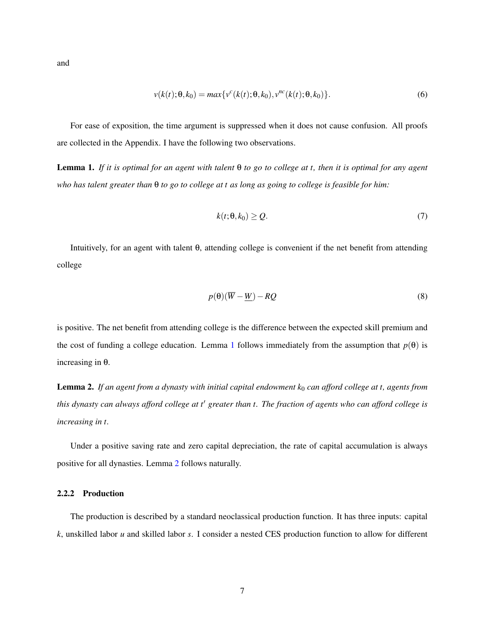and

$$
v(k(t); \theta, k_0) = max\{v^c(k(t); \theta, k_0), v^{nc}(k(t); \theta, k_0)\}.
$$
\n(6)

For ease of exposition, the time argument is suppressed when it does not cause confusion. All proofs are collected in the Appendix. I have the following two observations.

<span id="page-6-0"></span>Lemma 1. *If it is optimal for an agent with talent* θ *to go to college at t, then it is optimal for any agent who has talent greater than* θ *to go to college at t as long as going to college is feasible for him:*

$$
k(t; \theta, k_0) \ge Q. \tag{7}
$$

Intuitively, for an agent with talent θ, attending college is convenient if the net benefit from attending college

$$
p(\theta)(\overline{W} - \underline{W}) - RQ \tag{8}
$$

is positive. The net benefit from attending college is the difference between the expected skill premium and the cost of funding a college education. Lemma [1](#page-6-0) follows immediately from the assumption that  $p(\theta)$  is increasing in θ.

<span id="page-6-1"></span>Lemma 2. If an agent from a dynasty with initial capital endowment k<sub>0</sub> can afford college at t, agents from *this dynasty can always afford college at t' greater than t. The fraction of agents who can afford college is increasing in t.*

Under a positive saving rate and zero capital depreciation, the rate of capital accumulation is always positive for all dynasties. Lemma [2](#page-6-1) follows naturally.

### <span id="page-6-2"></span>2.2.2 Production

The production is described by a standard neoclassical production function. It has three inputs: capital *k*, unskilled labor *u* and skilled labor *s*. I consider a nested CES production function to allow for different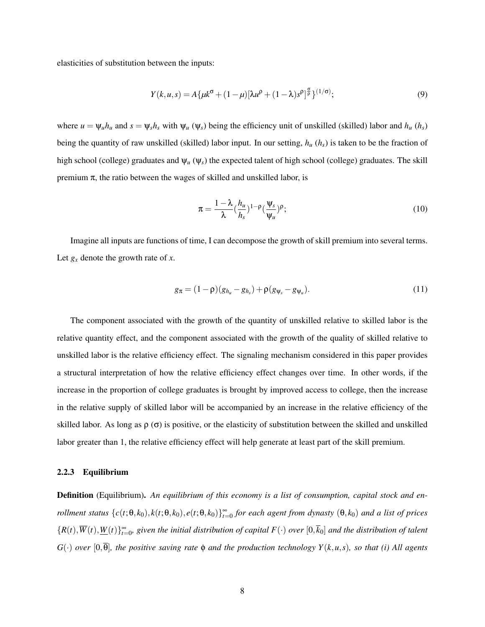elasticities of substitution between the inputs:

$$
Y(k, u, s) = A\{\mu k^{\sigma} + (1 - \mu)[\lambda u^{\rho} + (1 - \lambda)s^{\rho}]^{\frac{\sigma}{\rho}}\}^{(1/\sigma)};
$$
\n(9)

where  $u = \psi_u h_u$  and  $s = \psi_s h_s$  with  $\psi_u$  ( $\psi_s$ ) being the efficiency unit of unskilled (skilled) labor and  $h_u$  ( $h_s$ ) being the quantity of raw unskilled (skilled) labor input. In our setting, *h<sup>u</sup>* (*hs*) is taken to be the fraction of high school (college) graduates and  $\Psi_u(\Psi_s)$  the expected talent of high school (college) graduates. The skill premium  $\pi$ , the ratio between the wages of skilled and unskilled labor, is

<span id="page-7-0"></span>
$$
\pi = \frac{1 - \lambda}{\lambda} (\frac{h_u}{h_s})^{1 - \rho} (\frac{\Psi_s}{\Psi_u})^{\rho};\tag{10}
$$

Imagine all inputs are functions of time, I can decompose the growth of skill premium into several terms. Let  $g_x$  denote the growth rate of  $x$ .

$$
g_{\pi} = (1 - \rho)(g_{h_u} - g_{h_s}) + \rho(g_{\psi_s} - g_{\psi_u}). \tag{11}
$$

The component associated with the growth of the quantity of unskilled relative to skilled labor is the relative quantity effect, and the component associated with the growth of the quality of skilled relative to unskilled labor is the relative efficiency effect. The signaling mechanism considered in this paper provides a structural interpretation of how the relative efficiency effect changes over time. In other words, if the increase in the proportion of college graduates is brought by improved access to college, then the increase in the relative supply of skilled labor will be accompanied by an increase in the relative efficiency of the skilled labor. As long as  $\rho(\sigma)$  is positive, or the elasticity of substitution between the skilled and unskilled labor greater than 1, the relative efficiency effect will help generate at least part of the skill premium.

#### 2.2.3 Equilibrium

Definition (Equilibrium). *An equilibrium of this economy is a list of consumption, capital stock and enrollment status*  $\{c(t; \theta, k_0), k(t; \theta, k_0), e(t; \theta, k_0)\}_{t=0}^{\infty}$  for each agent from dynasty  $(\theta, k_0)$  and a list of prices  ${R(t), \overline{W}(t), \underline{W}(t)}_{t=0}^{\infty}$ , given the initial distribution of capital  $F(\cdot)$  over  $[0,\overline{k}_0]$  and the distribution of talent  $G(\cdot)$  *over* [0, $\overline{\theta}$ ]*, the positive saving rate*  $\phi$  *and the production technology*  $Y(k, u, s)$ *, so that* (*i*) All agents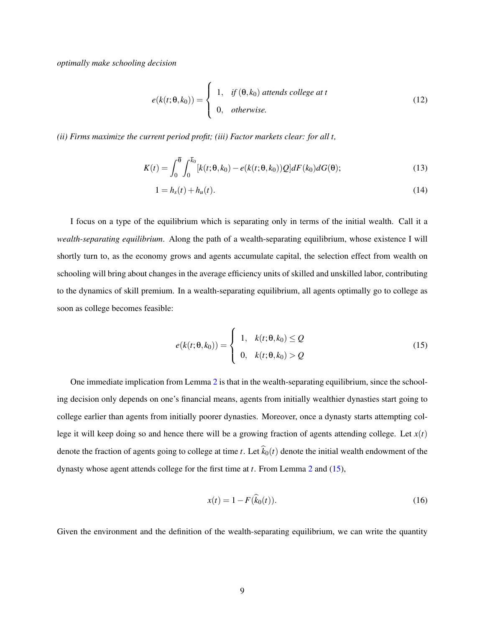*optimally make schooling decision*

$$
e(k(t; \theta, k_0)) = \begin{cases} 1, & \text{if } (\theta, k_0) \text{ at tends college at } t \\ 0, & \text{otherwise.} \end{cases}
$$
 (12)

*(ii) Firms maximize the current period profit; (iii) Factor markets clear: for all t,*

$$
K(t) = \int_0^{\overline{\theta}} \int_0^{\overline{k}_0} [k(t; \theta, k_0) - e(k(t; \theta, k_0))Q] dF(k_0) dG(\theta);
$$
\n(13)

$$
1 = h_s(t) + h_u(t).
$$
 (14)

I focus on a type of the equilibrium which is separating only in terms of the initial wealth. Call it a *wealth-separating equilibrium*. Along the path of a wealth-separating equilibrium, whose existence I will shortly turn to, as the economy grows and agents accumulate capital, the selection effect from wealth on schooling will bring about changes in the average efficiency units of skilled and unskilled labor, contributing to the dynamics of skill premium. In a wealth-separating equilibrium, all agents optimally go to college as soon as college becomes feasible:

<span id="page-8-0"></span>
$$
e(k(t; \theta, k_0)) = \begin{cases} 1, & k(t; \theta, k_0) \le Q \\ 0, & k(t; \theta, k_0) > Q \end{cases}
$$
(15)

One immediate implication from Lemma [2](#page-6-1) is that in the wealth-separating equilibrium, since the schooling decision only depends on one's financial means, agents from initially wealthier dynasties start going to college earlier than agents from initially poorer dynasties. Moreover, once a dynasty starts attempting college it will keep doing so and hence there will be a growing fraction of agents attending college. Let *x*(*t*) denote the fraction of agents going to college at time *t*. Let  $\hat{k}_0(t)$  denote the initial wealth endowment of the dynasty whose agent attends college for the first time at *t*. From Lemma [2](#page-6-1) and [\(15\)](#page-8-0),

$$
x(t) = 1 - F(\hat{k}_0(t)).
$$
\n(16)

Given the environment and the definition of the wealth-separating equilibrium, we can write the quantity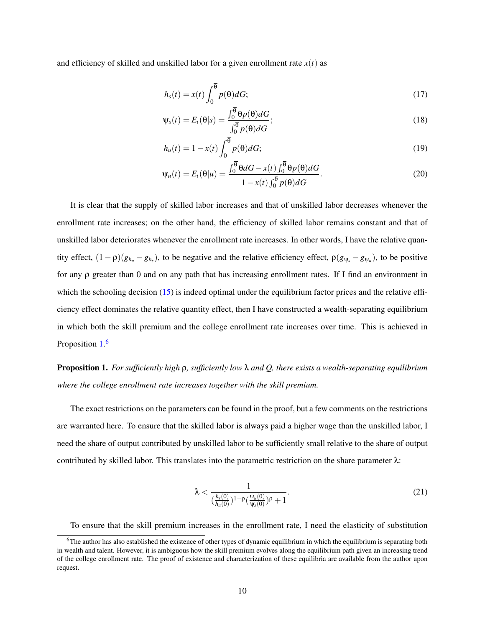and efficiency of skilled and unskilled labor for a given enrollment rate  $x(t)$  as

<span id="page-9-1"></span>
$$
h_s(t) = x(t) \int_0^{\overline{\theta}} p(\theta) dG; \tag{17}
$$

<span id="page-9-3"></span>
$$
\Psi_s(t) = E_t(\theta|s) = \frac{\int_0^{\theta} \theta p(\theta) dG}{\int_0^{\overline{\theta}} p(\theta) dG};
$$
\n(18)

<span id="page-9-2"></span>
$$
h_u(t) = 1 - x(t) \int_0^{\overline{\theta}} p(\theta) dG; \qquad (19)
$$

$$
\Psi_u(t) = E_t(\theta|u) = \frac{\int_0^{\overline{\theta}} \theta dG - x(t) \int_0^{\overline{\theta}} \theta p(\theta) dG}{1 - x(t) \int_0^{\overline{\theta}} p(\theta) dG}.
$$
\n(20)

It is clear that the supply of skilled labor increases and that of unskilled labor decreases whenever the enrollment rate increases; on the other hand, the efficiency of skilled labor remains constant and that of unskilled labor deteriorates whenever the enrollment rate increases. In other words, I have the relative quantity effect,  $(1 - \rho)(g_{h_u} - g_{h_s})$ , to be negative and the relative efficiency effect,  $\rho(g_{\psi_s} - g_{\psi_u})$ , to be positive for any ρ greater than 0 and on any path that has increasing enrollment rates. If I find an environment in which the schooling decision [\(15\)](#page-8-0) is indeed optimal under the equilibrium factor prices and the relative efficiency effect dominates the relative quantity effect, then I have constructed a wealth-separating equilibrium in which both the skill premium and the college enrollment rate increases over time. This is achieved in Proposition [1.](#page-9-0)<sup>[6](#page-0-0)</sup>

<span id="page-9-0"></span>Proposition 1. *For sufficiently high* ρ*, sufficiently low* λ *and Q, there exists a wealth-separating equilibrium where the college enrollment rate increases together with the skill premium.*

The exact restrictions on the parameters can be found in the proof, but a few comments on the restrictions are warranted here. To ensure that the skilled labor is always paid a higher wage than the unskilled labor, I need the share of output contributed by unskilled labor to be sufficiently small relative to the share of output contributed by skilled labor. This translates into the parametric restriction on the share parameter  $\lambda$ :

$$
\lambda < \frac{1}{\left(\frac{h_s(0)}{h_u(0)}\right)^{1-\rho} \left(\frac{\Psi_u(0)}{\Psi_s(0)}\right)^{\rho} + 1}.\tag{21}
$$

To ensure that the skill premium increases in the enrollment rate, I need the elasticity of substitution

 $6$ The author has also established the existence of other types of dynamic equilibrium in which the equilibrium is separating both in wealth and talent. However, it is ambiguous how the skill premium evolves along the equilibrium path given an increasing trend of the college enrollment rate. The proof of existence and characterization of these equilibria are available from the author upon request.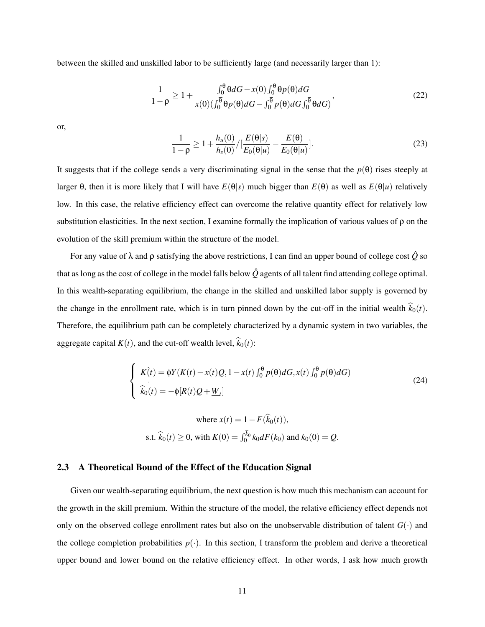between the skilled and unskilled labor to be sufficiently large (and necessarily larger than 1):

$$
\frac{1}{1-\rho} \ge 1 + \frac{\int_0^{\overline{\theta}} \theta dG - x(0) \int_0^{\overline{\theta}} \theta p(\theta) dG}{x(0) \left(\int_0^{\overline{\theta}} \theta p(\theta) dG - \int_0^{\overline{\theta}} p(\theta) dG \int_0^{\overline{\theta}} \theta dG\right)},
$$
\n(22)

or,

$$
\frac{1}{1-\rho} \ge 1 + \frac{h_u(0)}{h_s(0)} / [\frac{E(\theta|s)}{E_0(\theta|u)} - \frac{E(\theta)}{E_0(\theta|u)}].
$$
\n(23)

It suggests that if the college sends a very discriminating signal in the sense that the  $p(\theta)$  rises steeply at larger θ, then it is more likely that I will have *E*(θ|*s*) much bigger than *E*(θ) as well as *E*(θ|*u*) relatively low. In this case, the relative efficiency effect can overcome the relative quantity effect for relatively low substitution elasticities. In the next section, I examine formally the implication of various values of  $\rho$  on the evolution of the skill premium within the structure of the model.

For any value of  $\lambda$  and  $\rho$  satisfying the above restrictions, I can find an upper bound of college cost  $\hat{Q}$  so that as long as the cost of college in the model falls below  $\hat{Q}$  agents of all talent find attending college optimal. In this wealth-separating equilibrium, the change in the skilled and unskilled labor supply is governed by the change in the enrollment rate, which is in turn pinned down by the cut-off in the initial wealth  $\hat{k}_0(t)$ . Therefore, the equilibrium path can be completely characterized by a dynamic system in two variables, the aggregate capital  $K(t)$ , and the cut-off wealth level,  $\hat{k}_0(t)$ :

$$
\begin{cases}\nK(t) = \phi Y(K(t) - x(t)Q, 1 - x(t) \int_0^{\overline{\theta}} p(\theta) dG, x(t) \int_0^{\overline{\theta}} p(\theta) dG) \\
\hat{k}_0(t) = -\phi[R(t)Q + \underline{W}_t]\n\end{cases}
$$
\n(24)

<span id="page-10-1"></span>where 
$$
x(t) = 1 - F(\hat{k}_0(t)),
$$
  
s.t.  $\hat{k}_0(t) \ge 0$ , with  $K(0) = \int_0^{\bar{k}_0} k_0 dF(k_0)$  and  $k_0(0) = Q$ .

### <span id="page-10-0"></span>2.3 A Theoretical Bound of the Effect of the Education Signal

Given our wealth-separating equilibrium, the next question is how much this mechanism can account for the growth in the skill premium. Within the structure of the model, the relative efficiency effect depends not only on the observed college enrollment rates but also on the unobservable distribution of talent  $G(\cdot)$  and the college completion probabilities  $p(\cdot)$ . In this section, I transform the problem and derive a theoretical upper bound and lower bound on the relative efficiency effect. In other words, I ask how much growth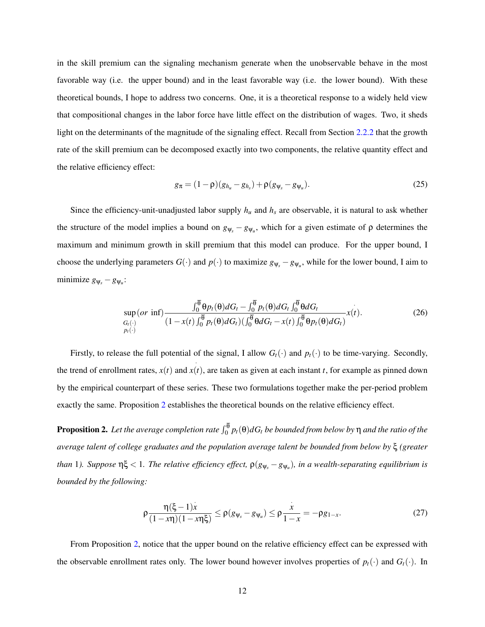in the skill premium can the signaling mechanism generate when the unobservable behave in the most favorable way (i.e. the upper bound) and in the least favorable way (i.e. the lower bound). With these theoretical bounds, I hope to address two concerns. One, it is a theoretical response to a widely held view that compositional changes in the labor force have little effect on the distribution of wages. Two, it sheds light on the determinants of the magnitude of the signaling effect. Recall from Section [2.2.2](#page-6-2) that the growth rate of the skill premium can be decomposed exactly into two components, the relative quantity effect and the relative efficiency effect:

$$
g_{\pi} = (1 - \rho)(g_{h_u} - g_{h_s}) + \rho(g_{\psi_s} - g_{\psi_u}).
$$
\n(25)

Since the efficiency-unit-unadjusted labor supply  $h_u$  and  $h_s$  are observable, it is natural to ask whether the structure of the model implies a bound on  $g_{\psi_s} - g_{\psi_u}$ , which for a given estimate of  $\rho$  determines the maximum and minimum growth in skill premium that this model can produce. For the upper bound, I choose the underlying parameters  $G(\cdot)$  and  $p(\cdot)$  to maximize  $g_{\psi_s} - g_{\psi_u}$ , while for the lower bound, I aim to minimize  $g_{\psi_s} - g_{\psi_u}$ :

$$
\sup_{G_t(\cdot)} (or \inf) \frac{\int_0^{\theta} \theta p_t(\theta) dG_t - \int_0^{\theta} p_t(\theta) dG_t \int_0^{\theta} \theta dG_t}{(1 - x(t) \int_0^{\overline{\theta}} p_t(\theta) dG_t) (\int_0^{\overline{\theta}} \theta dG_t - x(t) \int_0^{\overline{\theta}} \theta p_t(\theta) dG_t})} x(t).
$$
\n(26)

Firstly, to release the full potential of the signal, I allow  $G_t(\cdot)$  and  $p_t(\cdot)$  to be time-varying. Secondly, the trend of enrollment rates, *x*(*t*) and · *x*(*t*), are taken as given at each instant *t*, for example as pinned down by the empirical counterpart of these series. These two formulations together make the per-period problem exactly the same. Proposition [2](#page-11-0) establishes the theoretical bounds on the relative efficiency effect.

<span id="page-11-0"></span>**Proposition 2.** Let the average completion rate  $\int_0^\theta p_t(\theta)dG_t$  be bounded from below by  $\eta$  and the ratio of the *average talent of college graduates and the population average talent be bounded from below by* ξ *(greater than* 1*). Suppose* ηξ < 1*. The relative efficiency effect,* ρ(*g*ψ*<sup>s</sup>* −*g*ψ*<sup>u</sup>* )*, in a wealth-separating equilibrium is bounded by the following:*

$$
\rho \frac{\eta(\xi - 1)x}{(1 - x\eta)(1 - x\eta\xi)} \le \rho (g_{\psi_s} - g_{\psi_u}) \le \rho \frac{x}{1 - x} = -\rho g_{1 - x}.
$$
\n(27)

From Proposition [2,](#page-11-0) notice that the upper bound on the relative efficiency effect can be expressed with the observable enrollment rates only. The lower bound however involves properties of  $p_t(\cdot)$  and  $G_t(\cdot)$ . In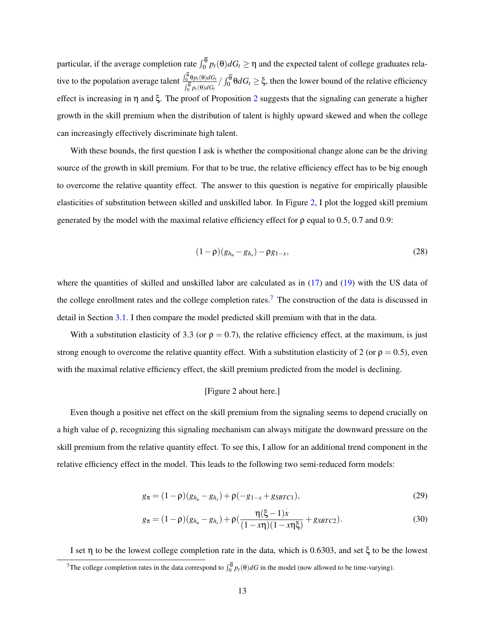particular, if the average completion rate  $\int_0^\theta p_t(\theta)dG_t \ge \eta$  and the expected talent of college graduates relative to the population average talent  $\frac{\int_0^{\theta} \theta p_t(\theta) dG_t}{\sqrt{\theta}}$  $\frac{\int_0^{\infty} \theta p_t(\theta) dG_t}{\int_0^{\overline{\theta}} p_t(\theta) dG_t} / \int_0^{\theta} \theta dG_t \ge \xi$ , then the lower bound of the relative efficiency effect is increasing in η and ξ. The proof of Proposition [2](#page-11-0) suggests that the signaling can generate a higher growth in the skill premium when the distribution of talent is highly upward skewed and when the college can increasingly effectively discriminate high talent.

With these bounds, the first question I ask is whether the compositional change alone can be the driving source of the growth in skill premium. For that to be true, the relative efficiency effect has to be big enough to overcome the relative quantity effect. The answer to this question is negative for empirically plausible elasticities of substitution between skilled and unskilled labor. In Figure [2,](#page-23-1) I plot the logged skill premium generated by the model with the maximal relative efficiency effect for  $\rho$  equal to 0.5, 0.7 and 0.9:

<span id="page-12-2"></span>
$$
(1 - \rho)(g_{h_u} - g_{h_s}) - \rho g_{1-x}, \qquad (28)
$$

where the quantities of skilled and unskilled labor are calculated as in [\(17\)](#page-9-1) and [\(19\)](#page-9-2) with the US data of the college enrollment rates and the college completion rates.<sup>[7](#page-0-0)</sup> The construction of the data is discussed in detail in Section [3.1.](#page-15-0) I then compare the model predicted skill premium with that in the data.

With a substitution elasticity of 3.3 (or  $\rho = 0.7$ ), the relative efficiency effect, at the maximum, is just strong enough to overcome the relative quantity effect. With a substitution elasticity of 2 (or  $\rho = 0.5$ ), even with the maximal relative efficiency effect, the skill premium predicted from the model is declining.

### <span id="page-12-1"></span><span id="page-12-0"></span>[Figure 2 about here.]

Even though a positive net effect on the skill premium from the signaling seems to depend crucially on a high value of ρ, recognizing this signaling mechanism can always mitigate the downward pressure on the skill premium from the relative quantity effect. To see this, I allow for an additional trend component in the relative efficiency effect in the model. This leads to the following two semi-reduced form models:

$$
g_{\pi} = (1 - \rho)(g_{h_u} - g_{h_s}) + \rho(-g_{1-x} + g_{SBTC1}),
$$
\n(29)

$$
g_{\pi} = (1 - \rho)(g_{h_u} - g_{h_s}) + \rho\left(\frac{\eta(\xi - 1)\dot{x}}{(1 - x\eta)(1 - x\eta\xi)} + g_{SBTC2}\right).
$$
 (30)

I set η to be the lowest college completion rate in the data, which is 0.6303, and set ξ to be the lowest <sup>7</sup>The college completion rates in the data correspond to  $\int_0^\theta p_t(\theta)dG$  in the model (now allowed to be time-varying).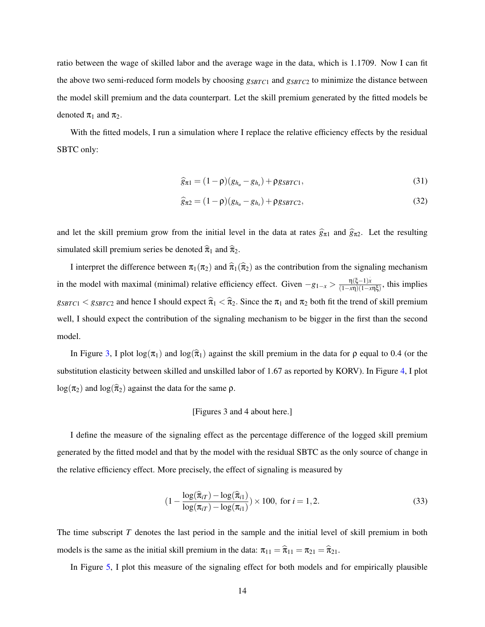ratio between the wage of skilled labor and the average wage in the data, which is 1.1709. Now I can fit the above two semi-reduced form models by choosing *gSBTC*<sup>1</sup> and *gSBTC*<sup>2</sup> to minimize the distance between the model skill premium and the data counterpart. Let the skill premium generated by the fitted models be denoted  $\pi_1$  and  $\pi_2$ .

With the fitted models, I run a simulation where I replace the relative efficiency effects by the residual SBTC only:

$$
\widehat{g}_{\pi 1} = (1 - \rho)(g_{h_u} - g_{h_s}) + \rho g_{SBTC1},\tag{31}
$$

$$
\widehat{g}_{\pi 2} = (1 - \rho)(g_{h_u} - g_{h_s}) + \rho g_{SBTC2},\tag{32}
$$

and let the skill premium grow from the initial level in the data at rates  $\hat{g}_{\pi1}$  and  $\hat{g}_{\pi2}$ . Let the resulting simulated skill premium series be denoted  $\hat{\pi}_1$  and  $\hat{\pi}_2$ .

I interpret the difference between  $\pi_1(\pi_2)$  and  $\hat{\pi}_1(\hat{\pi}_2)$  as the contribution from the signaling mechanism in the model with maximal (minimal) relative efficiency effect. Given  $-g_{1-x} > \frac{\eta(\xi-1)x}{(1-x\eta)(1-x)}$  $\frac{f(5-1)x}{(1-x\eta)(1-x\eta\xi)}$ , this implies  $g_{SBTC1} < g_{SBTC2}$  and hence I should expect  $\hat{\pi}_1 < \hat{\pi}_2$ . Since the  $\pi_1$  and  $\pi_2$  both fit the trend of skill premium well, I should expect the contribution of the signaling mechanism to be bigger in the first than the second model.

In Figure [3,](#page-24-0) I plot  $\log(\pi_1)$  and  $\log(\hat{\pi}_1)$  against the skill premium in the data for  $\rho$  equal to 0.4 (or the substitution elasticity between skilled and unskilled labor of 1.67 as reported by KORV). In Figure [4,](#page-24-1) I plot  $\log(\pi_2)$  and  $\log(\hat{\pi}_2)$  against the data for the same  $\rho$ .

### [Figures 3 and 4 about here.]

I define the measure of the signaling effect as the percentage difference of the logged skill premium generated by the fitted model and that by the model with the residual SBTC as the only source of change in the relative efficiency effect. More precisely, the effect of signaling is measured by

<span id="page-13-0"></span>
$$
(1 - \frac{\log(\widehat{\pi}_{iT}) - \log(\widehat{\pi}_{i1})}{\log(\pi_{iT}) - \log(\pi_{i1})}) \times 100, \text{ for } i = 1, 2.
$$
 (33)

The time subscript *T* denotes the last period in the sample and the initial level of skill premium in both models is the same as the initial skill premium in the data:  $\pi_{11} = \hat{\pi}_{11} = \pi_{21} = \hat{\pi}_{21}$ .

In Figure [5,](#page-25-0) I plot this measure of the signaling effect for both models and for empirically plausible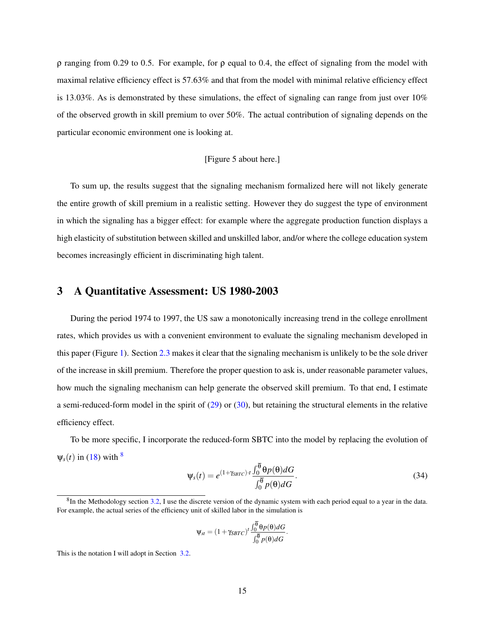ρ ranging from 0.29 to 0.5. For example, for ρ equal to 0.4, the effect of signaling from the model with maximal relative efficiency effect is 57.63% and that from the model with minimal relative efficiency effect is 13.03%. As is demonstrated by these simulations, the effect of signaling can range from just over  $10\%$ of the observed growth in skill premium to over 50%. The actual contribution of signaling depends on the particular economic environment one is looking at.

### [Figure 5 about here.]

To sum up, the results suggest that the signaling mechanism formalized here will not likely generate the entire growth of skill premium in a realistic setting. However they do suggest the type of environment in which the signaling has a bigger effect: for example where the aggregate production function displays a high elasticity of substitution between skilled and unskilled labor, and/or where the college education system becomes increasingly efficient in discriminating high talent.

# <span id="page-14-0"></span>3 A Quantitative Assessment: US 1980-2003

During the period 1974 to 1997, the US saw a monotonically increasing trend in the college enrollment rates, which provides us with a convenient environment to evaluate the signaling mechanism developed in this paper (Figure [1\)](#page-23-0). Section [2.3](#page-10-0) makes it clear that the signaling mechanism is unlikely to be the sole driver of the increase in skill premium. Therefore the proper question to ask is, under reasonable parameter values, how much the signaling mechanism can help generate the observed skill premium. To that end, I estimate a semi-reduced-form model in the spirit of [\(29\)](#page-12-0) or [\(30\)](#page-12-1), but retaining the structural elements in the relative efficiency effect.

To be more specific, I incorporate the reduced-form SBTC into the model by replacing the evolution of  $\Psi_s(t)$  in [\(18\)](#page-9-3) with  $\frac{8}{s}$  $\frac{8}{s}$  $\frac{8}{s}$ 

$$
\Psi_s(t) = e^{(1+\gamma_{SBTC}) \cdot t} \frac{\int_0^{\overline{\theta}} \theta p(\theta) dG}{\int_0^{\overline{\theta}} p(\theta) dG}.
$$
\n(34)

$$
\Psi_{st} = (1 + \gamma_{SBTC})^t \frac{\int_0^{\theta} \theta p(\theta) dG}{\int_0^{\overline{\theta}} p(\theta) dG}.
$$

This is the notation I will adopt in Section [3.2.](#page-17-0)

 ${}^{8}$ In the Methodology section [3.2,](#page-17-0) I use the discrete version of the dynamic system with each period equal to a year in the data. For example, the actual series of the efficiency unit of skilled labor in the simulation is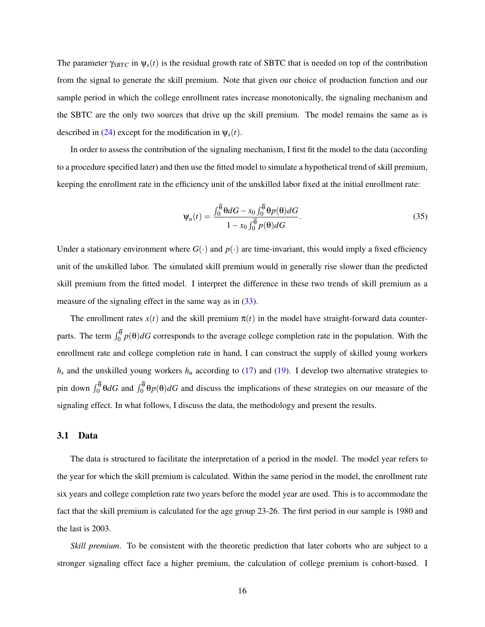The parameter  $\gamma_{SBTC}$  in  $\psi_s(t)$  is the residual growth rate of SBTC that is needed on top of the contribution from the signal to generate the skill premium. Note that given our choice of production function and our sample period in which the college enrollment rates increase monotonically, the signaling mechanism and the SBTC are the only two sources that drive up the skill premium. The model remains the same as is described in [\(24\)](#page-10-1) except for the modification in  $\psi_s(t)$ .

In order to assess the contribution of the signaling mechanism, I first fit the model to the data (according to a procedure specified later) and then use the fitted model to simulate a hypothetical trend of skill premium, keeping the enrollment rate in the efficiency unit of the unskilled labor fixed at the initial enrollment rate:

<span id="page-15-1"></span>
$$
\Psi_u(t) = \frac{\int_0^{\overline{\theta}} \theta dG - x_0 \int_0^{\overline{\theta}} \theta p(\theta) dG}{1 - x_0 \int_0^{\overline{\theta}} p(\theta) dG}.
$$
\n(35)

Under a stationary environment where  $G(\cdot)$  and  $p(\cdot)$  are time-invariant, this would imply a fixed efficiency unit of the unskilled labor. The simulated skill premium would in generally rise slower than the predicted skill premium from the fitted model. I interpret the difference in these two trends of skill premium as a measure of the signaling effect in the same way as in [\(33\)](#page-13-0).

The enrollment rates  $x(t)$  and the skill premium  $\pi(t)$  in the model have straight-forward data counterparts. The term  $\int_0^{\theta} p(\theta) dG$  corresponds to the average college completion rate in the population. With the enrollment rate and college completion rate in hand, I can construct the supply of skilled young workers  $h_s$  and the unskilled young workers  $h_u$  according to [\(17\)](#page-9-1) and [\(19\)](#page-9-2). I develop two alternative strategies to pin down  $\int_0^{\theta} \theta dG$  and  $\int_0^{\theta} \theta p(\theta) dG$  and discuss the implications of these strategies on our measure of the signaling effect. In what follows, I discuss the data, the methodology and present the results.

### <span id="page-15-0"></span>3.1 Data

The data is structured to facilitate the interpretation of a period in the model. The model year refers to the year for which the skill premium is calculated. Within the same period in the model, the enrollment rate six years and college completion rate two years before the model year are used. This is to accommodate the fact that the skill premium is calculated for the age group 23-26. The first period in our sample is 1980 and the last is 2003.

*Skill premium*. To be consistent with the theoretic prediction that later cohorts who are subject to a stronger signaling effect face a higher premium, the calculation of college premium is cohort-based. I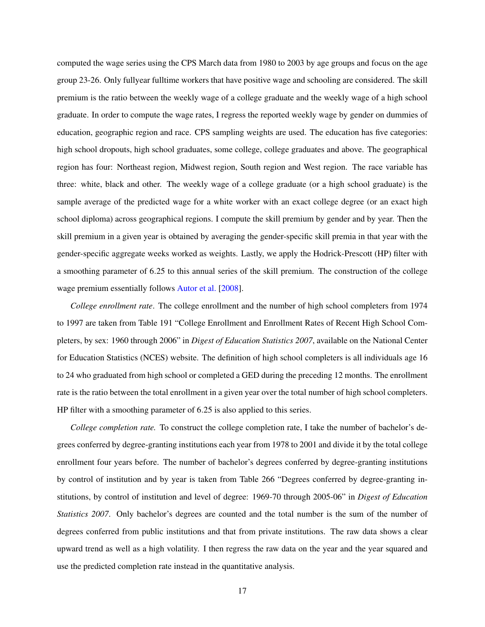computed the wage series using the CPS March data from 1980 to 2003 by age groups and focus on the age group 23-26. Only fullyear fulltime workers that have positive wage and schooling are considered. The skill premium is the ratio between the weekly wage of a college graduate and the weekly wage of a high school graduate. In order to compute the wage rates, I regress the reported weekly wage by gender on dummies of education, geographic region and race. CPS sampling weights are used. The education has five categories: high school dropouts, high school graduates, some college, college graduates and above. The geographical region has four: Northeast region, Midwest region, South region and West region. The race variable has three: white, black and other. The weekly wage of a college graduate (or a high school graduate) is the sample average of the predicted wage for a white worker with an exact college degree (or an exact high school diploma) across geographical regions. I compute the skill premium by gender and by year. Then the skill premium in a given year is obtained by averaging the gender-specific skill premia in that year with the gender-specific aggregate weeks worked as weights. Lastly, we apply the Hodrick-Prescott (HP) filter with a smoothing parameter of 6.25 to this annual series of the skill premium. The construction of the college wage premium essentially follows [Autor et al.](#page-33-0) [\[2008\]](#page-33-0).

*College enrollment rate*. The college enrollment and the number of high school completers from 1974 to 1997 are taken from Table 191 "College Enrollment and Enrollment Rates of Recent High School Completers, by sex: 1960 through 2006" in *Digest of Education Statistics 2007*, available on the National Center for Education Statistics (NCES) website. The definition of high school completers is all individuals age 16 to 24 who graduated from high school or completed a GED during the preceding 12 months. The enrollment rate is the ratio between the total enrollment in a given year over the total number of high school completers. HP filter with a smoothing parameter of 6.25 is also applied to this series.

*College completion rate.* To construct the college completion rate, I take the number of bachelor's degrees conferred by degree-granting institutions each year from 1978 to 2001 and divide it by the total college enrollment four years before. The number of bachelor's degrees conferred by degree-granting institutions by control of institution and by year is taken from Table 266 "Degrees conferred by degree-granting institutions, by control of institution and level of degree: 1969-70 through 2005-06" in *Digest of Education Statistics 2007*. Only bachelor's degrees are counted and the total number is the sum of the number of degrees conferred from public institutions and that from private institutions. The raw data shows a clear upward trend as well as a high volatility. I then regress the raw data on the year and the year squared and use the predicted completion rate instead in the quantitative analysis.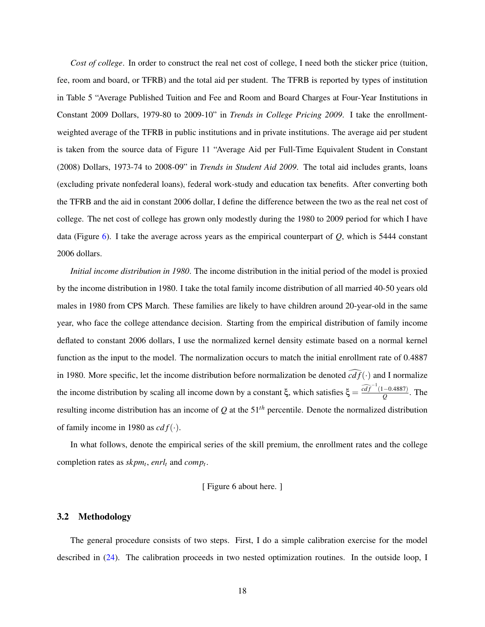*Cost of college*. In order to construct the real net cost of college, I need both the sticker price (tuition, fee, room and board, or TFRB) and the total aid per student. The TFRB is reported by types of institution in Table 5 "Average Published Tuition and Fee and Room and Board Charges at Four-Year Institutions in Constant 2009 Dollars, 1979-80 to 2009-10" in *Trends in College Pricing 2009*. I take the enrollmentweighted average of the TFRB in public institutions and in private institutions. The average aid per student is taken from the source data of Figure 11 "Average Aid per Full-Time Equivalent Student in Constant (2008) Dollars, 1973-74 to 2008-09" in *Trends in Student Aid 2009*. The total aid includes grants, loans (excluding private nonfederal loans), federal work-study and education tax benefits. After converting both the TFRB and the aid in constant 2006 dollar, I define the difference between the two as the real net cost of college. The net cost of college has grown only modestly during the 1980 to 2009 period for which I have data (Figure [6\)](#page-25-1). I take the average across years as the empirical counterpart of *Q*, which is 5444 constant 2006 dollars.

*Initial income distribution in 1980*. The income distribution in the initial period of the model is proxied by the income distribution in 1980. I take the total family income distribution of all married 40-50 years old males in 1980 from CPS March. These families are likely to have children around 20-year-old in the same year, who face the college attendance decision. Starting from the empirical distribution of family income deflated to constant 2006 dollars, I use the normalized kernel density estimate based on a normal kernel function as the input to the model. The normalization occurs to match the initial enrollment rate of 0.4887 in 1980. More specific, let the income distribution before normalization be denoted  $cdf(\cdot)$  and I normalize the income distribution by scaling all income down by a constant  $\xi$ , which satisfies  $\xi = \frac{\widehat{cdf}^{-1}(1-0.4887)}{O}$  $\frac{(-0.4887)}{Q}$ . The resulting income distribution has an income of *Q* at the 51*th* percentile. Denote the normalized distribution of family income in 1980 as  $cd f(\cdot)$ .

In what follows, denote the empirical series of the skill premium, the enrollment rates and the college completion rates as *skpm<sup>t</sup>* , *enrl<sup>t</sup>* and *comp<sup>t</sup>* .

#### [ Figure 6 about here. ]

### <span id="page-17-0"></span>3.2 Methodology

The general procedure consists of two steps. First, I do a simple calibration exercise for the model described in [\(24\)](#page-10-1). The calibration proceeds in two nested optimization routines. In the outside loop, I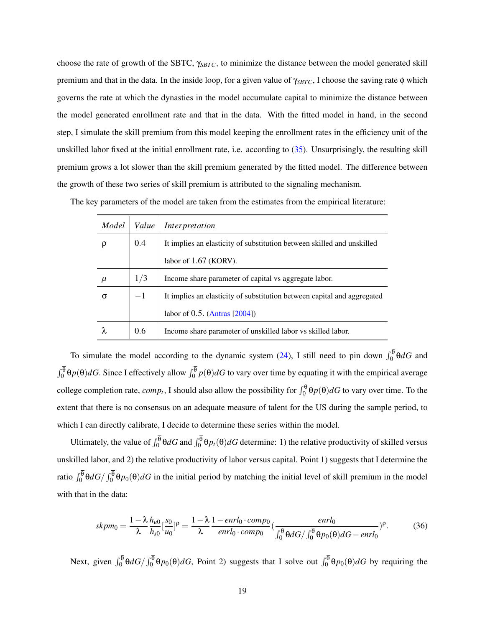choose the rate of growth of the SBTC, γ*SBTC*, to minimize the distance between the model generated skill premium and that in the data. In the inside loop, for a given value of γ*SBTC*, I choose the saving rate φ which governs the rate at which the dynasties in the model accumulate capital to minimize the distance between the model generated enrollment rate and that in the data. With the fitted model in hand, in the second step, I simulate the skill premium from this model keeping the enrollment rates in the efficiency unit of the unskilled labor fixed at the initial enrollment rate, i.e. according to [\(35\)](#page-15-1). Unsurprisingly, the resulting skill premium grows a lot slower than the skill premium generated by the fitted model. The difference between the growth of these two series of skill premium is attributed to the signaling mechanism.

|  | The key parameters of the model are taken from the estimates from the empirical literature: |  |  |  |  |  |
|--|---------------------------------------------------------------------------------------------|--|--|--|--|--|
|  |                                                                                             |  |  |  |  |  |

| Model | Value | Interpretation                                                          |
|-------|-------|-------------------------------------------------------------------------|
|       | 0.4   | It implies an elasticity of substitution between skilled and unskilled  |
|       |       | labor of $1.67$ (KORV).                                                 |
| μ     | 1/3   | Income share parameter of capital vs aggregate labor.                   |
| σ     | $-1$  | It implies an elasticity of substitution between capital and aggregated |
|       |       | labor of $0.5$ . (Antras [2004])                                        |
|       | 0.6   | Income share parameter of unskilled labor vs skilled labor.             |

To simulate the model according to the dynamic system [\(24\)](#page-10-1), I still need to pin down  $\int_0^{\theta} \theta dG$  and  $\int_0^{\theta} \theta p(\theta) dG$ . Since I effectively allow  $\int_0^{\theta} p(\theta) dG$  to vary over time by equating it with the empirical average college completion rate,  $comp_t$ , I should also allow the possibility for  $\int_0^\theta \theta p(\theta) dG$  to vary over time. To the extent that there is no consensus on an adequate measure of talent for the US during the sample period, to which I can directly calibrate, I decide to determine these series within the model.

Ultimately, the value of  $\int_0^{\theta} \theta dG$  and  $\int_0^{\theta} \theta p_t(\theta) dG$  determine: 1) the relative productivity of skilled versus unskilled labor, and 2) the relative productivity of labor versus capital. Point 1) suggests that I determine the ratio  $\int_0^\theta \theta dG / \int_0^\theta \theta p_0(\theta) dG$  in the initial period by matching the initial level of skill premium in the model with that in the data:

$$
skpm_0 = \frac{1 - \lambda}{\lambda} \frac{h_{u0}}{h_{s0}} \left[\frac{s_0}{u_0}\right]^{\rho} = \frac{1 - \lambda}{\lambda} \frac{1 - enrl_0 \cdot comp_0}{enrl_0 \cdot comp_0} \left(\frac{enrl_0}{\int_0^{\overline{\theta}} \theta dG / \int_0^{\overline{\theta}} \theta p_0(\theta) dG - enrl_0}\right)^{\rho}.
$$
 (36)

Next, given  $\int_0^\theta \theta dG / \int_0^\theta \theta p_0(\theta) dG$ , Point 2) suggests that I solve out  $\int_0^\theta \theta p_0(\theta) dG$  by requiring the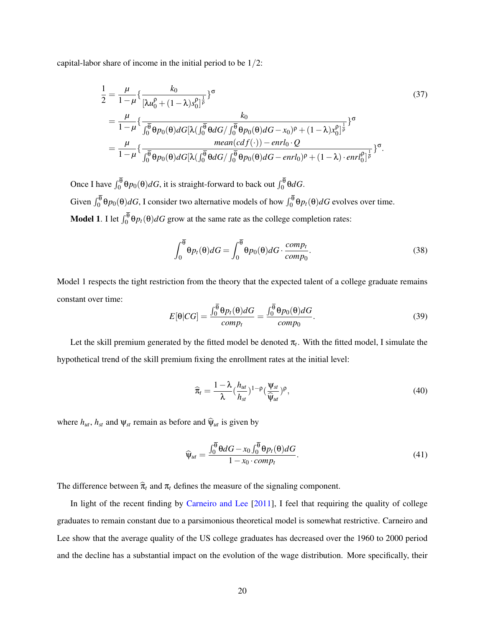capital-labor share of income in the initial period to be 1/2:

$$
\frac{1}{2} = \frac{\mu}{1-\mu} \left\{ \frac{k_0}{\left[\lambda u_0^{\rho} + (1-\lambda)s_0^{\rho}\right]^{\frac{1}{\rho}}} \right\}^{\sigma}
$$
\n
$$
= \frac{\mu}{1-\mu} \left\{ \frac{k_0}{\int_0^{\overline{\theta}} \theta p_0(\theta) dG \left[\lambda \left(\int_0^{\overline{\theta}} \theta dG / \int_0^{\overline{\theta}} \theta p_0(\theta) dG - x_0 \right)^{\rho} + (1-\lambda)x_0^{\rho}\right]^{\frac{1}{\rho}}} \right\}^{\sigma}
$$
\n
$$
= \frac{\mu}{1-\mu} \left\{ \frac{mean(cdf(\cdot)) - enrl_0 \cdot Q}{\int_0^{\overline{\theta}} \theta p_0(\theta) dG \left[\lambda \left(\int_0^{\overline{\theta}} \theta dG / \int_0^{\overline{\theta}} \theta p_0(\theta) dG - enrl_0 \right)^{\rho} + (1-\lambda) \cdot enrl_0^{\rho}\right]^{\frac{1}{\rho}}} \right\}^{\sigma}.
$$
\n(37)

Once I have  $\int_0^{\theta} \theta p_0(\theta) dG$ , it is straight-forward to back out  $\int_0^{\theta} \theta dG$ . Given  $\int_0^{\theta} \theta p_0(\theta) dG$ , I consider two alternative models of how  $\int_0^{\theta} \theta p_t(\theta) dG$  evolves over time. **Model 1.** I let  $\int_0^{\theta} \theta p_t(\theta) dG$  grow at the same rate as the college completion rates:

$$
\int_0^{\overline{\theta}} \theta p_t(\theta) dG = \int_0^{\overline{\theta}} \theta p_0(\theta) dG \cdot \frac{comp_t}{comp_0}.
$$
 (38)

Model 1 respects the tight restriction from the theory that the expected talent of a college graduate remains constant over time:

$$
E[\theta|CG] = \frac{\int_0^{\overline{\theta}} \theta p_t(\theta) dG}{comp_t} = \frac{\int_0^{\overline{\theta}} \theta p_0(\theta) dG}{comp_0}.
$$
\n(39)

Let the skill premium generated by the fitted model be denoted  $\pi_t$ . With the fitted model, I simulate the hypothetical trend of the skill premium fixing the enrollment rates at the initial level:

$$
\widehat{\pi}_t = \frac{1 - \lambda}{\lambda} (\frac{h_{ut}}{h_{st}})^{1 - \rho} (\frac{\Psi_{st}}{\widehat{\Psi}_{ut}})^{\rho}, \tag{40}
$$

where  $h_{ut}$ ,  $h_{st}$  and  $\psi_{st}$  remain as before and  $\hat{\psi}_{ut}$  is given by

$$
\widehat{\psi}_{ut} = \frac{\int_0^{\overline{\theta}} \theta dG - x_0 \int_0^{\overline{\theta}} \theta p_t(\theta) dG}{1 - x_0 \cdot comp_t}.
$$
\n(41)

The difference between  $\hat{\pi}_t$  and  $\pi_t$  defines the measure of the signaling component.

In light of the recent finding by [Carneiro and Lee](#page-33-5) [\[2011\]](#page-33-5), I feel that requiring the quality of college graduates to remain constant due to a parsimonious theoretical model is somewhat restrictive. Carneiro and Lee show that the average quality of the US college graduates has decreased over the 1960 to 2000 period and the decline has a substantial impact on the evolution of the wage distribution. More specifically, their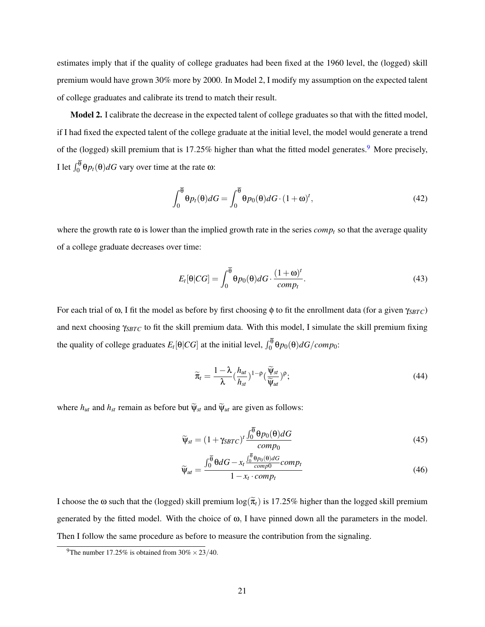estimates imply that if the quality of college graduates had been fixed at the 1960 level, the (logged) skill premium would have grown 30% more by 2000. In Model 2, I modify my assumption on the expected talent of college graduates and calibrate its trend to match their result.

Model 2. I calibrate the decrease in the expected talent of college graduates so that with the fitted model, if I had fixed the expected talent of the college graduate at the initial level, the model would generate a trend of the (logged) skill premium that is 17.25% higher than what the fitted model generates.<sup>[9](#page-0-0)</sup> More precisely, I let  $\int_0^\theta \Theta p_t(\theta) dG$  vary over time at the rate ω:

$$
\int_0^{\overline{\theta}} \theta p_t(\theta) dG = \int_0^{\overline{\theta}} \theta p_0(\theta) dG \cdot (1 + \omega)^t,\tag{42}
$$

where the growth rate  $\omega$  is lower than the implied growth rate in the series  $comp<sub>t</sub>$  so that the average quality of a college graduate decreases over time:

$$
E_t[\Theta|CG] = \int_0^{\overline{\Theta}} \Theta p_0(\Theta) dG \cdot \frac{(1+\omega)^t}{comp_t}.
$$
\n(43)

For each trial of ω, I fit the model as before by first choosing φ to fit the enrollment data (for a given γ*SBTC*) and next choosing γ*SBTC* to fit the skill premium data. With this model, I simulate the skill premium fixing the quality of college graduates  $E_t[\theta|CG]$  at the initial level,  $\int_0^{\theta} \theta p_0(\theta) dG/comp_0$ :

$$
\widetilde{\pi}_t = \frac{1 - \lambda}{\lambda} (\frac{h_{ut}}{h_{st}})^{1 - \rho} (\frac{\widetilde{\Psi}_{st}}{\widetilde{\Psi}_{ut}})^{\rho};
$$
\n(44)

where  $h_{ut}$  and  $h_{st}$  remain as before but  $\widetilde{\psi}_{st}$  and  $\widetilde{\psi}_{ut}$  are given as follows:

$$
\widetilde{\psi}_{st} = (1 + \gamma_{SBTC})^t \frac{\int_0^{\overline{\theta}} \theta p_0(\theta) dG}{comp_0}
$$
\n(45)

$$
\widetilde{\psi}_{ut} = \frac{\int_0^{\overline{\theta}} \theta dG - x_t \frac{\int_0^{\overline{\theta}} \theta p_0(\theta) dG}{comp_0} comp_t}{1 - x_t \cdot comp_t} \tag{46}
$$

I choose the  $\omega$  such that the (logged) skill premium  $\log(\tilde{\pi}_t)$  is 17.25% higher than the logged skill premium generated by the fitted model. With the choice of ω, I have pinned down all the parameters in the model. Then I follow the same procedure as before to measure the contribution from the signaling.

<sup>&</sup>lt;sup>9</sup>The number 17.25% is obtained from  $30\% \times 23/40$ .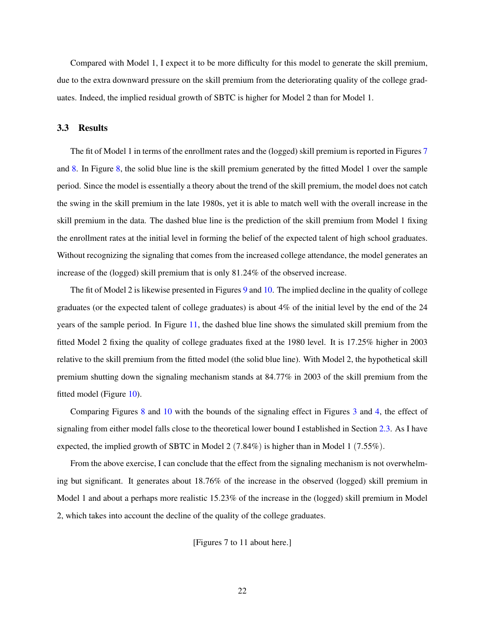Compared with Model 1, I expect it to be more difficulty for this model to generate the skill premium, due to the extra downward pressure on the skill premium from the deteriorating quality of the college graduates. Indeed, the implied residual growth of SBTC is higher for Model 2 than for Model 1.

### 3.3 Results

The fit of Model 1 in terms of the enrollment rates and the (logged) skill premium is reported in Figures [7](#page-26-0) and [8.](#page-26-1) In Figure [8,](#page-26-1) the solid blue line is the skill premium generated by the fitted Model 1 over the sample period. Since the model is essentially a theory about the trend of the skill premium, the model does not catch the swing in the skill premium in the late 1980s, yet it is able to match well with the overall increase in the skill premium in the data. The dashed blue line is the prediction of the skill premium from Model 1 fixing the enrollment rates at the initial level in forming the belief of the expected talent of high school graduates. Without recognizing the signaling that comes from the increased college attendance, the model generates an increase of the (logged) skill premium that is only 81.24% of the observed increase.

The fit of Model 2 is likewise presented in Figures [9](#page-27-0) and [10.](#page-27-1) The implied decline in the quality of college graduates (or the expected talent of college graduates) is about 4% of the initial level by the end of the 24 years of the sample period. In Figure [11,](#page-28-0) the dashed blue line shows the simulated skill premium from the fitted Model 2 fixing the quality of college graduates fixed at the 1980 level. It is 17.25% higher in 2003 relative to the skill premium from the fitted model (the solid blue line). With Model 2, the hypothetical skill premium shutting down the signaling mechanism stands at 84.77% in 2003 of the skill premium from the fitted model (Figure [10\)](#page-27-1).

Comparing Figures [8](#page-26-1) and [10](#page-27-1) with the bounds of the signaling effect in Figures [3](#page-24-0) and [4,](#page-24-1) the effect of signaling from either model falls close to the theoretical lower bound I established in Section [2.3.](#page-10-0) As I have expected, the implied growth of SBTC in Model 2 (7.84%) is higher than in Model 1 (7.55%).

From the above exercise, I can conclude that the effect from the signaling mechanism is not overwhelming but significant. It generates about 18.76% of the increase in the observed (logged) skill premium in Model 1 and about a perhaps more realistic 15.23% of the increase in the (logged) skill premium in Model 2, which takes into account the decline of the quality of the college graduates.

[Figures 7 to 11 about here.]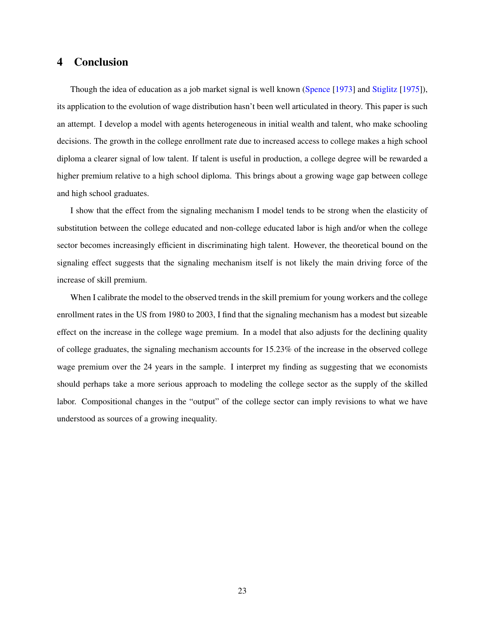### 4 Conclusion

Though the idea of education as a job market signal is well known [\(Spence](#page-34-6) [\[1973\]](#page-34-6) and [Stiglitz](#page-34-7) [\[1975\]](#page-34-7)), its application to the evolution of wage distribution hasn't been well articulated in theory. This paper is such an attempt. I develop a model with agents heterogeneous in initial wealth and talent, who make schooling decisions. The growth in the college enrollment rate due to increased access to college makes a high school diploma a clearer signal of low talent. If talent is useful in production, a college degree will be rewarded a higher premium relative to a high school diploma. This brings about a growing wage gap between college and high school graduates.

I show that the effect from the signaling mechanism I model tends to be strong when the elasticity of substitution between the college educated and non-college educated labor is high and/or when the college sector becomes increasingly efficient in discriminating high talent. However, the theoretical bound on the signaling effect suggests that the signaling mechanism itself is not likely the main driving force of the increase of skill premium.

When I calibrate the model to the observed trends in the skill premium for young workers and the college enrollment rates in the US from 1980 to 2003, I find that the signaling mechanism has a modest but sizeable effect on the increase in the college wage premium. In a model that also adjusts for the declining quality of college graduates, the signaling mechanism accounts for 15.23% of the increase in the observed college wage premium over the 24 years in the sample. I interpret my finding as suggesting that we economists should perhaps take a more serious approach to modeling the college sector as the supply of the skilled labor. Compositional changes in the "output" of the college sector can imply revisions to what we have understood as sources of a growing inequality.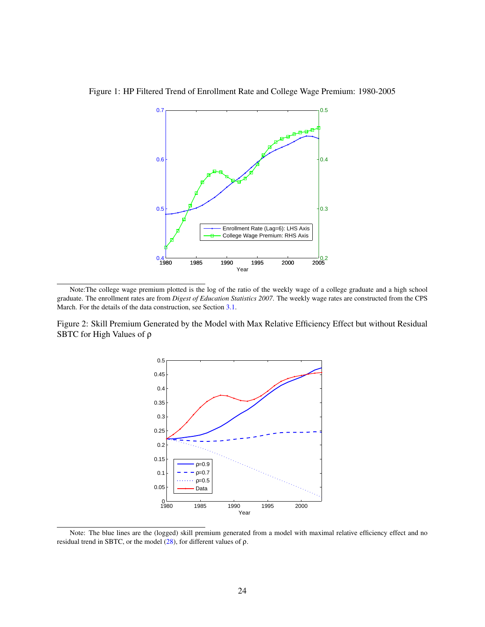<span id="page-23-0"></span>

Figure 1: HP Filtered Trend of Enrollment Rate and College Wage Premium: 1980-2005

<span id="page-23-1"></span>Figure 2: Skill Premium Generated by the Model with Max Relative Efficiency Effect but without Residual SBTC for High Values of ρ



Note: The blue lines are the (logged) skill premium generated from a model with maximal relative efficiency effect and no residual trend in SBTC, or the model  $(28)$ , for different values of ρ.

Note:The college wage premium plotted is the log of the ratio of the weekly wage of a college graduate and a high school graduate. The enrollment rates are from *Digest of Education Statistics 2007*. The weekly wage rates are constructed from the CPS March. For the details of the data construction, see Section [3.1.](#page-15-0)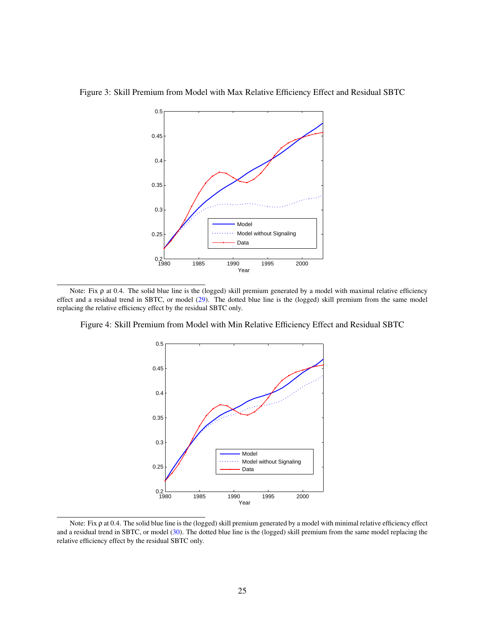<span id="page-24-0"></span>

Figure 3: Skill Premium from Model with Max Relative Efficiency Effect and Residual SBTC

Note: Fix ρ at 0.4. The solid blue line is the (logged) skill premium generated by a model with maximal relative efficiency effect and a residual trend in SBTC, or model [\(29\)](#page-12-0). The dotted blue line is the (logged) skill premium from the same model replacing the relative efficiency effect by the residual SBTC only.

Figure 4: Skill Premium from Model with Min Relative Efficiency Effect and Residual SBTC

<span id="page-24-1"></span>

Note: Fix ρ at 0.4. The solid blue line is the (logged) skill premium generated by a model with minimal relative efficiency effect and a residual trend in SBTC, or model [\(30\)](#page-12-1). The dotted blue line is the (logged) skill premium from the same model replacing the relative efficiency effect by the residual SBTC only.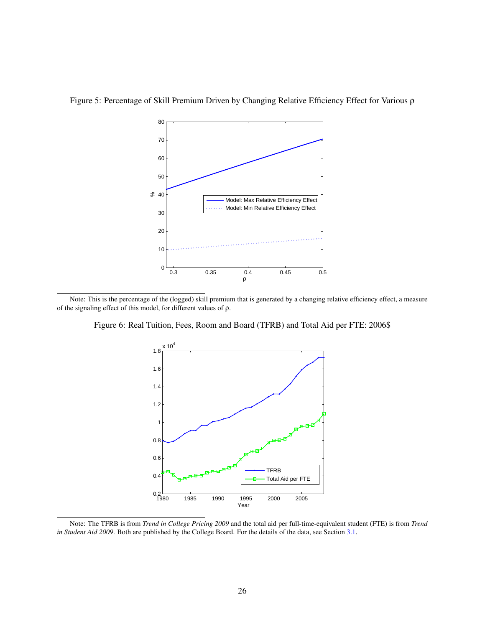

<span id="page-25-0"></span>Figure 5: Percentage of Skill Premium Driven by Changing Relative Efficiency Effect for Various ρ

Note: This is the percentage of the (logged) skill premium that is generated by a changing relative efficiency effect, a measure of the signaling effect of this model, for different values of ρ.

Figure 6: Real Tuition, Fees, Room and Board (TFRB) and Total Aid per FTE: 2006\$

<span id="page-25-1"></span>

Note: The TFRB is from *Trend in College Pricing 2009* and the total aid per full-time-equivalent student (FTE) is from *Trend in Student Aid 2009*. Both are published by the College Board. For the details of the data, see Section [3.1.](#page-15-0)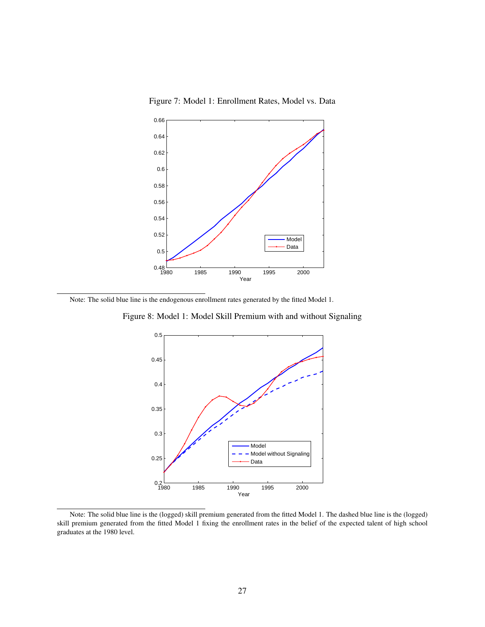<span id="page-26-0"></span>Figure 7: Model 1: Enrollment Rates, Model vs. Data



Note: The solid blue line is the endogenous enrollment rates generated by the fitted Model 1.

Figure 8: Model 1: Model Skill Premium with and without Signaling

<span id="page-26-1"></span>

Note: The solid blue line is the (logged) skill premium generated from the fitted Model 1. The dashed blue line is the (logged) skill premium generated from the fitted Model 1 fixing the enrollment rates in the belief of the expected talent of high school graduates at the 1980 level.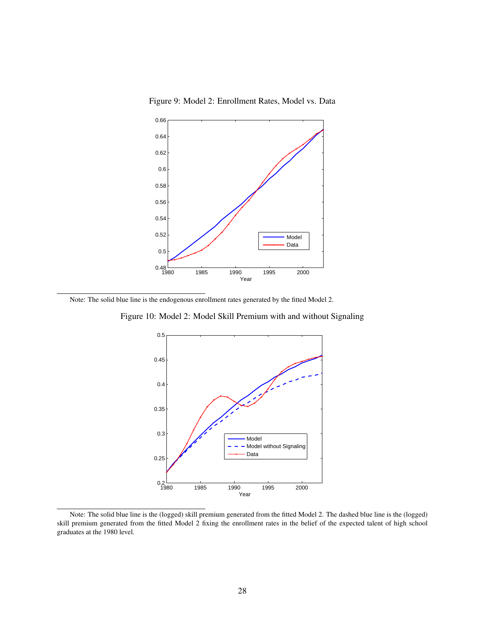<span id="page-27-0"></span>Figure 9: Model 2: Enrollment Rates, Model vs. Data



Note: The solid blue line is the endogenous enrollment rates generated by the fitted Model 2.

Figure 10: Model 2: Model Skill Premium with and without Signaling

<span id="page-27-1"></span>

Note: The solid blue line is the (logged) skill premium generated from the fitted Model 2. The dashed blue line is the (logged) skill premium generated from the fitted Model 2 fixing the enrollment rates in the belief of the expected talent of high school graduates at the 1980 level.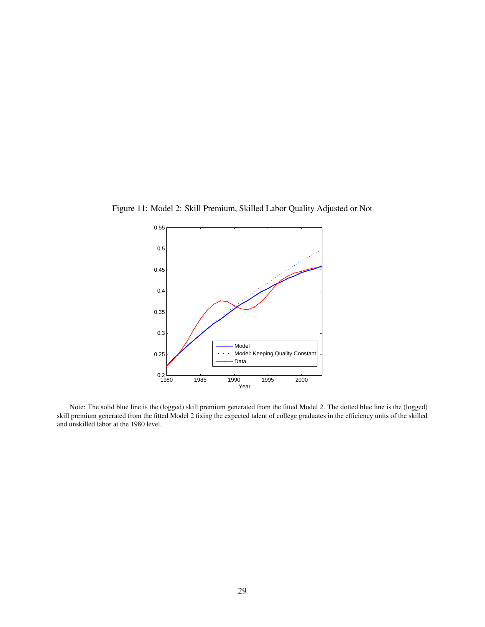<span id="page-28-0"></span>

Figure 11: Model 2: Skill Premium, Skilled Labor Quality Adjusted or Not

Note: The solid blue line is the (logged) skill premium generated from the fitted Model 2. The dotted blue line is the (logged) skill premium generated from the fitted Model 2 fixing the expected talent of college graduates in the efficiency units of the skilled and unskilled labor at the 1980 level.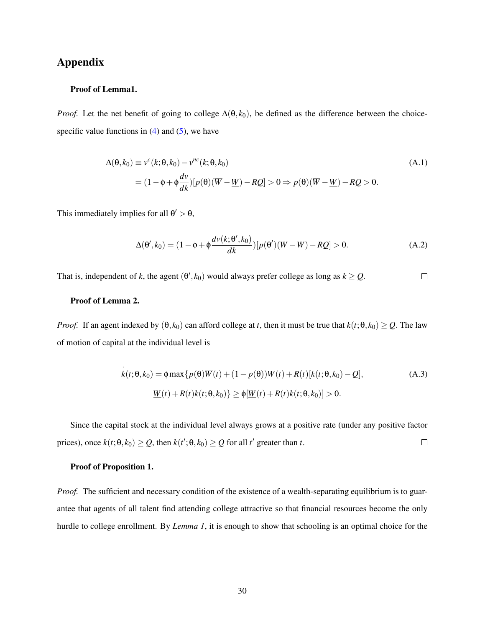# Appendix

### Proof of Lemma1.

*Proof.* Let the net benefit of going to college  $\Delta(\theta, k_0)$ , be defined as the difference between the choicespecific value functions in  $(4)$  and  $(5)$ , we have

$$
\Delta(\theta, k_0) \equiv v^c(k; \theta, k_0) - v^{nc}(k; \theta, k_0)
$$
\n
$$
= (1 - \phi + \phi \frac{dv}{dk})[p(\theta)(\overline{W} - \underline{W}) - R\underline{O}] > 0 \Rightarrow p(\theta)(\overline{W} - \underline{W}) - R\underline{O} > 0.
$$
\n(A.1)

This immediately implies for all  $\theta' > \theta$ ,

$$
\Delta(\theta', k_0) = (1 - \phi + \phi \frac{d\nu(k; \theta', k_0)}{dk}) [p(\theta')(\overline{W} - \underline{W}) - RQ] > 0.
$$
 (A.2)

That is, independent of *k*, the agent  $(\theta', k_0)$  would always prefer college as long as  $k \geq Q$ .  $\Box$ 

### Proof of Lemma 2.

*Proof.* If an agent indexed by  $(\theta, k_0)$  can afford college at *t*, then it must be true that  $k(t; \theta, k_0) \ge Q$ . The law of motion of capital at the individual level is

$$
\dot{k}(t; \theta, k_0) = \phi \max\{p(\theta)\overline{W}(t) + (1 - p(\theta))\underline{W}(t) + R(t)[k(t; \theta, k_0) - Q],
$$
\n(A.3)\n
$$
\underline{W}(t) + R(t)k(t; \theta, k_0)\} \ge \phi[\underline{W}(t) + R(t)k(t; \theta, k_0)] > 0.
$$

Since the capital stock at the individual level always grows at a positive rate (under any positive factor prices), once  $k(t; \theta, k_0) \geq Q$ , then  $k(t'; \theta, k_0) \geq Q$  for all  $t'$  greater than  $t$ .  $\Box$ 

### Proof of Proposition 1.

*Proof.* The sufficient and necessary condition of the existence of a wealth-separating equilibrium is to guarantee that agents of all talent find attending college attractive so that financial resources become the only hurdle to college enrollment. By *Lemma 1*, it is enough to show that schooling is an optimal choice for the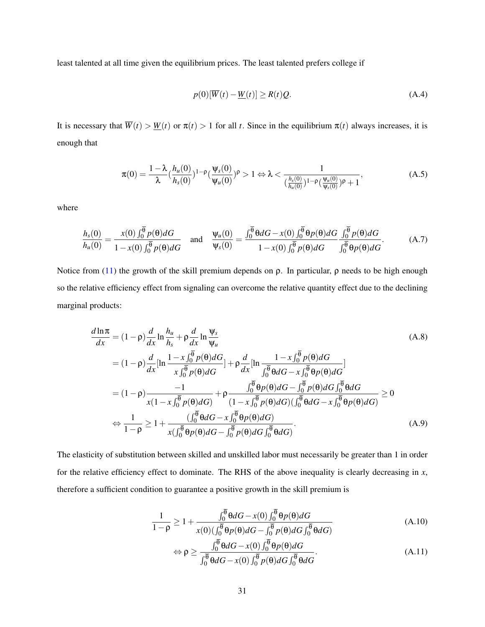least talented at all time given the equilibrium prices. The least talented prefers college if

<span id="page-30-0"></span>
$$
p(0)[\overline{W}(t) - \underline{W}(t)] \ge R(t)Q.
$$
\n(A.4)

It is necessary that  $\overline{W}(t) > W(t)$  or  $\pi(t) > 1$  for all *t*. Since in the equilibrium  $\pi(t)$  always increases, it is enough that

$$
\pi(0) = \frac{1 - \lambda}{\lambda} \left( \frac{h_u(0)}{h_s(0)} \right)^{1 - \rho} \left( \frac{\psi_s(0)}{\psi_u(0)} \right)^{\rho} > 1 \Leftrightarrow \lambda < \frac{1}{\left( \frac{h_s(0)}{h_u(0)} \right)^{1 - \rho} \left( \frac{\psi_u(0)}{\psi_s(0)} \right)^{\rho} + 1},\tag{A.5}
$$

where

$$
\frac{h_s(0)}{h_u(0)} = \frac{x(0)\int_0^{\overline{\theta}} p(\theta)dG}{1 - x(0)\int_0^{\overline{\theta}} p(\theta)dG} \quad \text{and} \quad \frac{\psi_u(0)}{\psi_s(0)} = \frac{\int_0^{\overline{\theta}} \theta dG - x(0)\int_0^{\overline{\theta}} \theta p(\theta)dG}{1 - x(0)\int_0^{\overline{\theta}} p(\theta)dG} \cdot \frac{\int_0^{\overline{\theta}} p(\theta)dG}{\int_0^{\overline{\theta}} \theta p(\theta)dG}.
$$
 (A.7)

Notice from [\(11\)](#page-7-0) the growth of the skill premium depends on  $ρ$ . In particular,  $ρ$  needs to be high enough so the relative efficiency effect from signaling can overcome the relative quantity effect due to the declining marginal products:

$$
\frac{d\ln\pi}{dx} = (1 - \rho)\frac{d}{dx}\ln\frac{h_u}{h_s} + \rho\frac{d}{dx}\ln\frac{\Psi_s}{\Psi_u}
$$
\n
$$
= (1 - \rho)\frac{d}{dx}[\ln\frac{1 - x\int_0^{\overline{\theta}} p(\theta)dG}{x\int_0^{\overline{\theta}} p(\theta)dG}] + \rho\frac{d}{dx}[\ln\frac{1 - x\int_0^{\overline{\theta}} p(\theta)dG}{\int_0^{\overline{\theta}} \theta dG - x\int_0^{\overline{\theta}} \theta p(\theta)dG}]
$$
\n
$$
= (1 - \rho)\frac{-1}{x(1 - x\int_0^{\overline{\theta}} p(\theta)dG)} + \rho\frac{\int_0^{\overline{\theta}} \theta p(\theta)dG - \int_0^{\overline{\theta}} p(\theta)dG\int_0^{\overline{\theta}} \theta dG}{(1 - x\int_0^{\overline{\theta}} p(\theta)dG)(\int_0^{\overline{\theta}} \theta dG - x\int_0^{\overline{\theta}} \theta p(\theta)dG}
$$
\n
$$
\Leftrightarrow \frac{1}{1 - \rho} \ge 1 + \frac{(\int_0^{\overline{\theta}} \theta dG - x\int_0^{\overline{\theta}} \theta p(\theta)dG)}{x(\int_0^{\overline{\theta}} \theta p(\theta)dG - \int_0^{\overline{\theta}} p(\theta)dG}
$$
\n(A.9)

The elasticity of substitution between skilled and unskilled labor must necessarily be greater than 1 in order for the relative efficiency effect to dominate. The RHS of the above inequality is clearly decreasing in *x*, therefore a sufficient condition to guarantee a positive growth in the skill premium is

$$
\frac{1}{1-\rho} \ge 1 + \frac{\int_0^{\overline{\theta}} \theta dG - x(0) \int_0^{\overline{\theta}} \theta p(\theta) dG}{x(0) (\int_0^{\overline{\theta}} \theta p(\theta) dG - \int_0^{\overline{\theta}} p(\theta) dG \int_0^{\overline{\theta}} \theta dG)}
$$
(A.10)

$$
\Leftrightarrow \rho \ge \frac{\int_0^{\theta} \theta dG - x(0) \int_0^{\theta} \theta p(\theta) dG}{\int_0^{\overline{\theta}} \theta dG - x(0) \int_0^{\overline{\theta}} p(\theta) dG \int_0^{\overline{\theta}} \theta dG}.
$$
\n(A.11)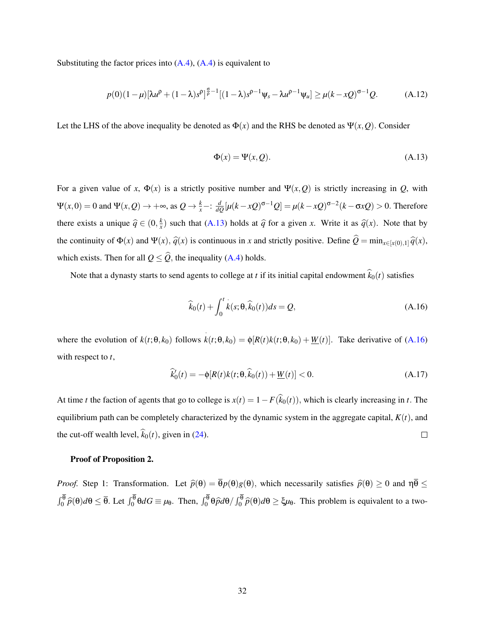Substituting the factor prices into  $(A.4)$ ,  $(A.4)$  is equivalent to

$$
p(0)(1-\mu)[\lambda u^{\rho} + (1-\lambda)s^{\rho}]^{\frac{\sigma}{\rho}-1}[(1-\lambda)s^{\rho-1}\psi_s - \lambda u^{\rho-1}\psi_u] \ge \mu(k-xQ)^{\sigma-1}Q. \tag{A.12}
$$

Let the LHS of the above inequality be denoted as  $\Phi(x)$  and the RHS be denoted as  $\Psi(x, Q)$ . Consider

<span id="page-31-0"></span>
$$
\Phi(x) = \Psi(x, Q). \tag{A.13}
$$

For a given value of *x*,  $\Phi(x)$  is a strictly positive number and  $\Psi(x, Q)$  is strictly increasing in *Q*, with  $\Psi(x,0) = 0$  and  $\Psi(x,Q) \to +\infty$ , as  $Q \to \frac{k}{x} - \frac{d}{dQ}[\mu(k-xQ)^{\sigma-1}Q] = \mu(k-xQ)^{\sigma-2}(k-\sigma xQ) > 0$ . Therefore there exists a unique  $\hat{q} \in (0, \frac{k}{x})$  $\frac{k}{x}$ ) such that [\(A.13\)](#page-31-0) holds at  $\hat{q}$  for a given *x*. Write it as  $\hat{q}(x)$ . Note that by the continuity of  $\Phi(x)$  and  $\Psi(x)$ ,  $\hat{q}(x)$  is continuous in *x* and strictly positive. Define  $\hat{Q} = \min_{x \in [x(0),1]} \hat{q}(x)$ , which exists. Then for all  $Q \leq \hat{Q}$ , the inequality [\(A.4\)](#page-30-0) holds.

Note that a dynasty starts to send agents to college at *t* if its initial capital endowment  $\hat{k}_0(t)$  satisfies

<span id="page-31-1"></span>
$$
\widehat{k}_0(t) + \int_0^t \dot{k}(s; \theta, \widehat{k}_0(t))ds = Q,\tag{A.16}
$$

where the evolution of  $k(t; \theta, k_0)$  follows  $k(t; \theta, k_0) = \phi[R(t)k(t; \theta, k_0) + \underline{W}(t)]$ . Take derivative of [\(A.16\)](#page-31-1) with respect to *t*,

$$
\widehat{k}_0'(t) = -\phi[R(t)k(t;\theta,\widehat{k}_0(t)) + \underline{W}(t)] < 0. \tag{A.17}
$$

At time *t* the faction of agents that go to college is  $x(t) = 1 - F(\hat{k}_0(t))$ , which is clearly increasing in *t*. The equilibrium path can be completely characterized by the dynamic system in the aggregate capital,  $K(t)$ , and the cut-off wealth level,  $\hat{k}_0(t)$ , given in [\(24\)](#page-10-1).  $\Box$ 

### Proof of Proposition 2.

*Proof.* Step 1: Transformation. Let  $\hat{p}(\theta) = \overline{\theta}p(\theta)g(\theta)$ , which necessarily satisfies  $\hat{p}(\theta) \ge 0$  and  $\eta \overline{\theta} \le$  $\int_0^{\theta} \hat{p}(\theta) d\theta \leq \overline{\theta}$ . Let  $\int_0^{\theta} \theta dG \equiv \mu_{\theta}$ . Then,  $\int_0^{\theta} \theta \hat{p} d\theta / \int_0^{\theta} \hat{p}(\theta) d\theta \geq \xi \mu_{\theta}$ . This problem is equivalent to a two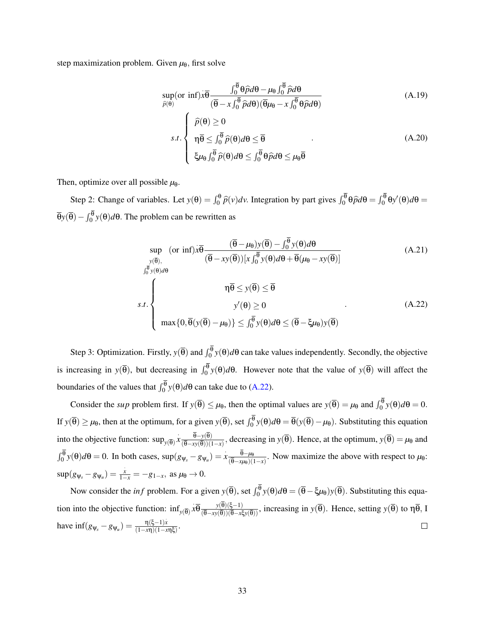step maximization problem. Given  $\mu_{\theta}$ , first solve

$$
\sup_{\hat{p}(\theta)} (\text{or inf}) \dot{x} \overline{\theta} \frac{\int_0^{\overline{\theta}} \theta \hat{p} d\theta - \mu_\theta \int_0^{\overline{\theta}} \hat{p} d\theta}{(\overline{\theta} - x \int_0^{\overline{\theta}} \hat{p} d\theta)(\overline{\theta} \mu_\theta - x \int_0^{\overline{\theta}} \theta \hat{p} d\theta)}
$$
(A.19)

$$
s.t. \begin{cases} \widehat{p}(\theta) \ge 0 \\ \eta \overline{\theta} \le \int_0^{\overline{\theta}} \widehat{p}(\theta) d\theta \le \overline{\theta} \\ \xi \mu_{\theta} \int_0^{\overline{\theta}} \widehat{p}(\theta) d\theta \le \int_0^{\overline{\theta}} \theta \widehat{p} d\theta \le \mu_{\theta} \overline{\theta} \end{cases}
$$
(A.20)

Then, optimize over all possible  $\mu_{\theta}$ .

Step 2: Change of variables. Let  $y(\theta) = \int_0^{\theta} \hat{p}(v)dv$ . Integration by part gives  $\int_0^{\theta} \theta \hat{p}d\theta = \int_0^{\theta} \theta y'(\theta)d\theta =$  $\overline{\theta}$ *y*( $\overline{\theta}$ ) −  $\int_0^{\theta}$ *y*( $\theta$ ) $d\theta$ . The problem can be rewritten as

<span id="page-32-0"></span>
$$
\sup_{y(\overline{\theta}), \atop \int_{0}^{\overline{y}(\overline{\theta})} y(\theta)d\theta} (\text{or inf}) x \overline{\theta} \frac{(\overline{\theta} - \mu_{\theta}) y(\overline{\theta}) - \int_{0}^{\overline{\theta}} y(\theta) d\theta}{(\overline{\theta} - xy(\overline{\theta})) [x \int_{0}^{\overline{\theta}} y(\theta) d\theta + \overline{\theta} (\mu_{\theta} - xy(\overline{\theta}))]
$$
(A.21)  

$$
\eta \overline{\theta} \le y(\overline{\theta}) \le \overline{\theta}
$$
  
s.t. 
$$
y'(\theta) \ge 0 \qquad (A.22)
$$

$$
\max\{0, \overline{\theta}(y(\overline{\theta}) - \mu_{\theta})\} \le \int_{0}^{\overline{\theta}} y(\theta) d\theta \le (\overline{\theta} - \xi \mu_{\theta}) y(\overline{\theta})
$$

Step 3: Optimization. Firstly,  $y(\bar{\theta})$  and  $\int_0^{\theta} y(\theta) d\theta$  can take values independently. Secondly, the objective is increasing in  $y(\bar{\theta})$ , but decreasing in  $\int_0^{\theta} y(\theta) d\theta$ . However note that the value of  $y(\bar{\theta})$  will affect the boundaries of the values that  $\int_0^{\theta} y(\theta) d\theta$  can take due to [\(A.22\)](#page-32-0).

Consider the *sup* problem first. If  $y(\overline{\theta}) \le \mu_{\theta}$ , then the optimal values are  $y(\overline{\theta}) = \mu_{\theta}$  and  $\int_0^{\theta} y(\theta) d\theta = 0$ . If  $y(\overline{\theta}) \ge \mu_{\theta}$ , then at the optimum, for a given  $y(\overline{\theta})$ , set  $\int_0^{\theta} y(\theta) d\theta = \overline{\theta}(y(\overline{\theta}) - \mu_{\theta})$ . Substituting this equation into the objective function:  $\sup_{y(\overline{\theta})} x \frac{\overline{\theta} - y(\overline{\theta})}{(\overline{\theta} - xy(\overline{\theta}))/(1)}$  $\frac{\theta - y(\theta)}{(\theta - xy(\theta))(1-x)}$ , decreasing in *y*( $\theta$ ). Hence, at the optimum, *y*( $\theta$ ) =  $\mu_{\theta}$  and  $\int_0^{\overline{\theta}} y(\theta) d\theta = 0$ . In both cases,  $\sup(g_{\psi_s} - g_{\psi_u}) = x \frac{\overline{\theta} - \mu_{\theta}}{(\overline{\theta} - x\mu_{\theta})(\overline{\theta})}$  $\frac{\theta - \mu_{\theta}}{(\overline{\theta} - x\mu_{\theta})(1-x)}$ . Now maximize the above with respect to  $\mu_{\theta}$ :  $\sup(g_{\psi_s} - g_{\psi_u}) = \frac{x}{1-x} = -g_{1-x}, \text{ as } \mu_{\theta} \to 0.$ 

Now consider the *inf* problem. For a given  $y(\overline{\theta})$ , set  $\int_0^{\theta} y(\theta) d\theta = (\overline{\theta} - \xi \mu_{\theta}) y(\overline{\theta})$ . Substituting this equation into the objective function:  $\inf_{y(\overline{\theta})} x\overline{\theta} \frac{y(\overline{\theta})(\xi-1)}{(\overline{\theta}-xy(\overline{\theta}))(\overline{\theta}-x\xi y(\overline{\theta}))}$ , increasing in  $y(\overline{\theta})$ . Hence, setting  $y(\overline{\theta})$  to  $\eta\overline{\theta}$ , I have  $\inf(g_{\psi_s} - g_{\psi_u}) = \frac{\eta(\xi - 1)x}{(1 - x\eta)(1 - x)}$  $\Box$  $rac{\eta(\varsigma-1)x}{(1-x\eta)(1-x\eta\xi)}$ .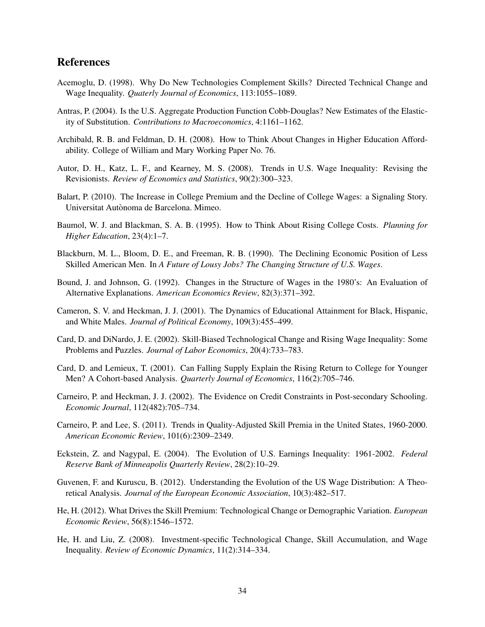# References

- <span id="page-33-3"></span>Acemoglu, D. (1998). Why Do New Technologies Complement Skills? Directed Technical Change and Wage Inequality. *Quaterly Journal of Economics*, 113:1055–1089.
- <span id="page-33-16"></span>Antras, P. (2004). Is the U.S. Aggregate Production Function Cobb-Douglas? New Estimates of the Elasticity of Substitution. *Contributions to Macroeconomics*, 4:1161–1162.
- <span id="page-33-10"></span>Archibald, R. B. and Feldman, D. H. (2008). How to Think About Changes in Higher Education Affordability. College of William and Mary Working Paper No. 76.
- <span id="page-33-0"></span>Autor, D. H., Katz, L. F., and Kearney, M. S. (2008). Trends in U.S. Wage Inequality: Revising the Revisionists. *Review of Economics and Statistics*, 90(2):300–323.
- <span id="page-33-11"></span>Balart, P. (2010). The Increase in College Premium and the Decline of College Wages: a Signaling Story. Universitat Autònoma de Barcelona. Mimeo.
- <span id="page-33-9"></span>Baumol, W. J. and Blackman, S. A. B. (1995). How to Think About Rising College Costs. *Planning for Higher Education*, 23(4):1–7.
- <span id="page-33-6"></span>Blackburn, M. L., Bloom, D. E., and Freeman, R. B. (1990). The Declining Economic Position of Less Skilled American Men. In *A Future of Lousy Jobs? The Changing Structure of U.S. Wages*.
- <span id="page-33-4"></span>Bound, J. and Johnson, G. (1992). Changes in the Structure of Wages in the 1980's: An Evaluation of Alternative Explanations. *American Economics Review*, 82(3):371–392.
- <span id="page-33-7"></span>Cameron, S. V. and Heckman, J. J. (2001). The Dynamics of Educational Attainment for Black, Hispanic, and White Males. *Journal of Political Economy*, 109(3):455–499.
- <span id="page-33-1"></span>Card, D. and DiNardo, J. E. (2002). Skill-Biased Technological Change and Rising Wage Inequality: Some Problems and Puzzles. *Journal of Labor Economics*, 20(4):733–783.
- <span id="page-33-12"></span>Card, D. and Lemieux, T. (2001). Can Falling Supply Explain the Rising Return to College for Younger Men? A Cohort-based Analysis. *Quarterly Journal of Economics*, 116(2):705–746.
- <span id="page-33-8"></span>Carneiro, P. and Heckman, J. J. (2002). The Evidence on Credit Constraints in Post-secondary Schooling. *Economic Journal*, 112(482):705–734.
- <span id="page-33-5"></span>Carneiro, P. and Lee, S. (2011). Trends in Quality-Adjusted Skill Premia in the United States, 1960-2000. *American Economic Review*, 101(6):2309–2349.
- <span id="page-33-2"></span>Eckstein, Z. and Nagypal, E. (2004). The Evolution of U.S. Earnings Inequality: 1961-2002. *Federal Reserve Bank of Minneapolis Quarterly Review*, 28(2):10–29.
- <span id="page-33-15"></span>Guvenen, F. and Kuruscu, B. (2012). Understanding the Evolution of the US Wage Distribution: A Theoretical Analysis. *Journal of the European Economic Association*, 10(3):482–517.
- <span id="page-33-13"></span>He, H. (2012). What Drives the Skill Premium: Technological Change or Demographic Variation. *European Economic Review*, 56(8):1546–1572.
- <span id="page-33-14"></span>He, H. and Liu, Z. (2008). Investment-specific Technological Change, Skill Accumulation, and Wage Inequality. *Review of Economic Dynamics*, 11(2):314–334.